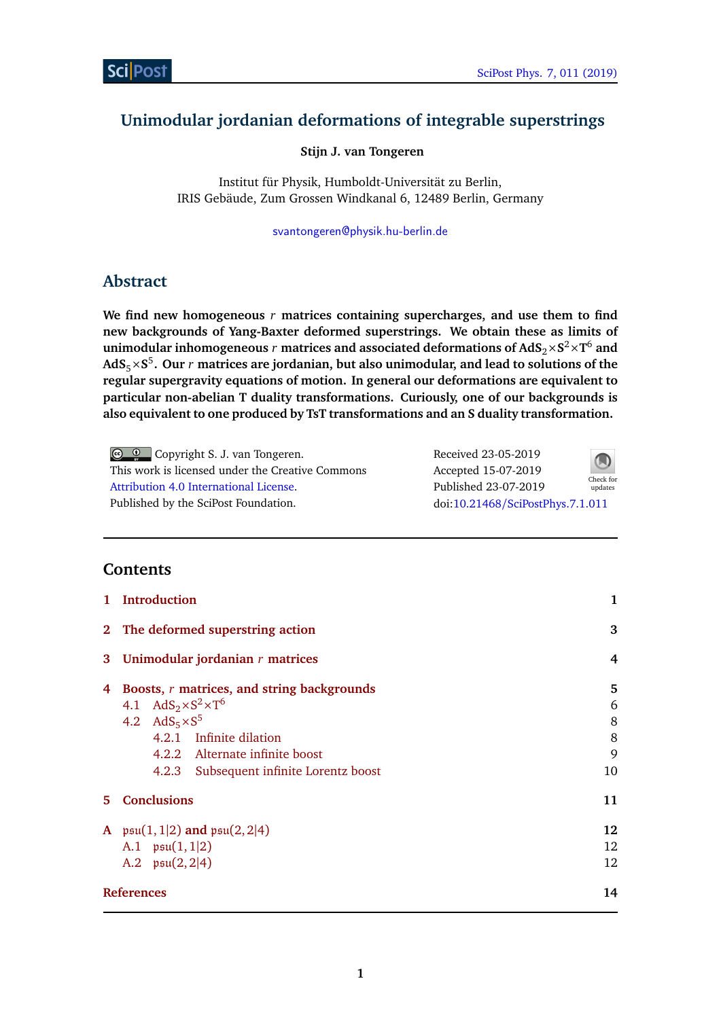# **Unimodular jordanian deformations of integrable superstrings**

**Stijn J. van Tongeren**

Institut für Physik, Humboldt-Universität zu Berlin, IRIS Gebäude, Zum Grossen Windkanal 6, 12489 Berlin, Germany

[svantongeren@physik.hu-berlin.de](mailto:svantongeren@physik.hu-berlin.de)

# **Abstract**

**We find new homogeneous** *r* **matrices containing supercharges, and use them to find new backgrounds of Yang-Baxter deformed superstrings. We obtain these as limits of**  ${\bf u}$ nimodular inhomogeneous  $r$  matrices and associated deformations of  ${\bf AdS}_2 \times {\bf S}^2 \times {\bf T}^6$  and **AdS**5×**S** 5 **. Our** *r* **matrices are jordanian, but also unimodular, and lead to solutions of the regular supergravity equations of motion. In general our deformations are equivalent to particular non-abelian T duality transformations. Curiously, one of our backgrounds is also equivalent to one produced by TsT transformations and an S duality transformation.**

Copyright S. J. van Tongeren. This work is licensed under the Creative Commons [Attribution 4.0 International License.](http://creativecommons.org/licenses/by/4.0/) Published by the SciPost Foundation.

Received 23-05-2019 Accepted 15-07-2019 Published 23-07-2019 Check for updates doi:10.21468/[SciPostPhys.7.1.011](http://dx.doi.org/10.21468/SciPostPhys.7.1.011)



# **Contents**

| 1  | <b>Introduction</b>                                                                                                                                     | 1                |
|----|---------------------------------------------------------------------------------------------------------------------------------------------------------|------------------|
|    | 2 The deformed superstring action                                                                                                                       | 3                |
| 3  | Unimodular jordanian $r$ matrices                                                                                                                       | 4                |
| 4  | Boosts, r matrices, and string backgrounds<br>4.1 AdS <sub>2</sub> ×S <sup>2</sup> ×T <sup>6</sup><br>4.2 $AdS_5 \times S^5$<br>4.2.1 Infinite dilation | 5<br>6<br>8<br>8 |
|    | 4.2.2 Alternate infinite boost<br>Subsequent infinite Lorentz boost<br>4.2.3                                                                            | 9<br>10          |
| 5. | <b>Conclusions</b>                                                                                                                                      | 11               |
|    | A $\mathfrak{psu}(1,1 2)$ and $\mathfrak{psu}(2,2 4)$<br>A.1 $\mathfrak{psu}(1,1 2)$<br>A.2 $\mathfrak{psu}(2,2 4)$                                     | 12<br>12<br>12   |
|    | <b>References</b>                                                                                                                                       | 14               |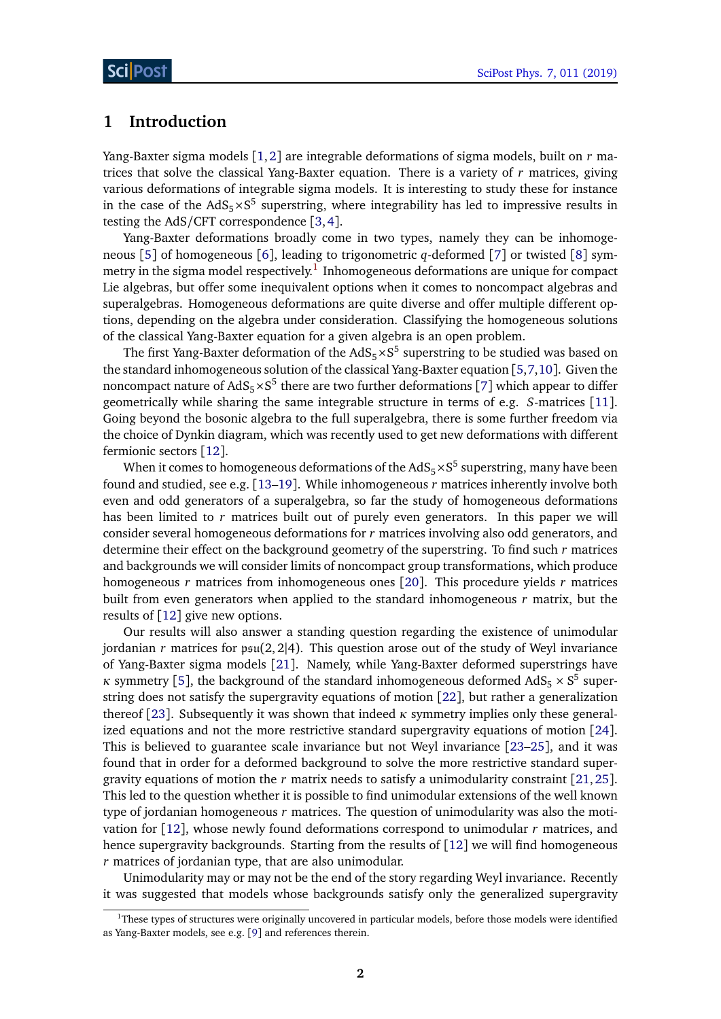## <span id="page-1-0"></span>**1 Introduction**

Yang-Baxter sigma models [[1,](#page-13-1)[2](#page-13-2)] are integrable deformations of sigma models, built on *r* matrices that solve the classical Yang-Baxter equation. There is a variety of *r* matrices, giving various deformations of integrable sigma models. It is interesting to study these for instance in the case of the  $AdS_5 \times S^5$  superstring, where integrability has led to impressive results in testing the AdS/CFT correspondence [[3,](#page-13-3)[4](#page-13-4)].

Yang-Baxter deformations broadly come in two types, namely they can be inhomogeneous [[5](#page-13-5)] of homogeneous [[6](#page-13-6)], leading to trigonometric *q*-deformed [[7](#page-13-7)] or twisted [[8](#page-13-8)] symmetry in the sigma model respectively. $^{\rm 1}$  $^{\rm 1}$  $^{\rm 1}$  Inhomogeneous deformations are unique for compact Lie algebras, but offer some inequivalent options when it comes to noncompact algebras and superalgebras. Homogeneous deformations are quite diverse and offer multiple different options, depending on the algebra under consideration. Classifying the homogeneous solutions of the classical Yang-Baxter equation for a given algebra is an open problem.

The first Yang-Baxter deformation of the  $AdS_5\times S^5$  superstring to be studied was based on the standard inhomogeneous solution of the classical Yang-Baxter equation [[5,](#page-13-5)[7,](#page-13-7)[10](#page-14-0)]. Given the noncompact nature of AdS<sub>5</sub>×S<sup>5</sup> there are two further deformations [[7](#page-13-7)] which appear to differ geometrically while sharing the same integrable structure in terms of e.g. *S*-matrices [[11](#page-14-1)]. Going beyond the bosonic algebra to the full superalgebra, there is some further freedom via the choice of Dynkin diagram, which was recently used to get new deformations with different fermionic sectors [[12](#page-14-2)].

When it comes to homogeneous deformations of the AdS<sub>5</sub>  $\times$  S $^5$  superstring, many have been found and studied, see e.g. [[13–](#page-14-3)[19](#page-14-4)]. While inhomogeneous *r* matrices inherently involve both even and odd generators of a superalgebra, so far the study of homogeneous deformations has been limited to *r* matrices built out of purely even generators. In this paper we will consider several homogeneous deformations for *r* matrices involving also odd generators, and determine their effect on the background geometry of the superstring. To find such *r* matrices and backgrounds we will consider limits of noncompact group transformations, which produce homogeneous *r* matrices from inhomogeneous ones [[20](#page-14-5)]. This procedure yields *r* matrices built from even generators when applied to the standard inhomogeneous *r* matrix, but the results of [[12](#page-14-2)] give new options.

Our results will also answer a standing question regarding the existence of unimodular jordanian *r* matrices for psu(2, 2|4). This question arose out of the study of Weyl invariance of Yang-Baxter sigma models [[21](#page-14-6)]. Namely, while Yang-Baxter deformed superstrings have *κ* symmetry [[5](#page-13-5)], the background of the standard inhomogeneous deformed  $AdS_5 \times S^5$  superstring does not satisfy the supergravity equations of motion [[22](#page-14-7)], but rather a generalization thereof [[23](#page-14-8)]. Subsequently it was shown that indeed *κ* symmetry implies only these generalized equations and not the more restrictive standard supergravity equations of motion [[24](#page-14-9)]. This is believed to guarantee scale invariance but not Weyl invariance [[23](#page-14-8)[–25](#page-14-10)], and it was found that in order for a deformed background to solve the more restrictive standard supergravity equations of motion the *r* matrix needs to satisfy a unimodularity constraint [[21,](#page-14-6)[25](#page-14-10)]. This led to the question whether it is possible to find unimodular extensions of the well known type of jordanian homogeneous *r* matrices. The question of unimodularity was also the motivation for [[12](#page-14-2)], whose newly found deformations correspond to unimodular *r* matrices, and hence supergravity backgrounds. Starting from the results of  $\lceil 12 \rceil$  $\lceil 12 \rceil$  $\lceil 12 \rceil$  we will find homogeneous *r* matrices of jordanian type, that are also unimodular.

Unimodularity may or may not be the end of the story regarding Weyl invariance. Recently it was suggested that models whose backgrounds satisfy only the generalized supergravity

<span id="page-1-1"></span><sup>&</sup>lt;sup>1</sup>These types of structures were originally uncovered in particular models, before those models were identified as Yang-Baxter models, see e.g. [[9](#page-13-9)] and references therein.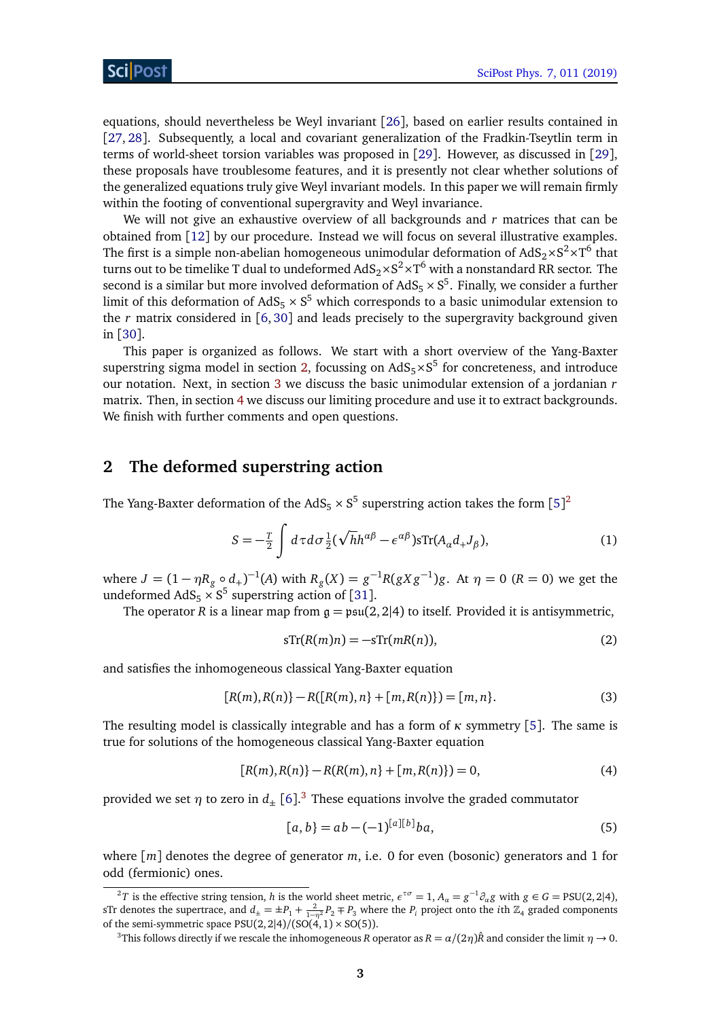equations, should nevertheless be Weyl invariant [[26](#page-14-11)], based on earlier results contained in [[27,](#page-15-0) [28](#page-15-1)]. Subsequently, a local and covariant generalization of the Fradkin-Tseytlin term in terms of world-sheet torsion variables was proposed in [[29](#page-15-2)]. However, as discussed in [[29](#page-15-2)], these proposals have troublesome features, and it is presently not clear whether solutions of the generalized equations truly give Weyl invariant models. In this paper we will remain firmly within the footing of conventional supergravity and Weyl invariance.

We will not give an exhaustive overview of all backgrounds and *r* matrices that can be obtained from [[12](#page-14-2)] by our procedure. Instead we will focus on several illustrative examples. The first is a simple non-abelian homogeneous unimodular deformation of  $\text{AdS}_2 {\times} \text{S}^2 {\times} \text{T}^6$  that turns out to be timelike T dual to undeformed AdS $_2\times$ S $^2\times$ T $^6$  with a nonstandard RR sector. The second is a similar but more involved deformation of AdS<sub>5</sub>  $\times$  S<sup>5</sup>. Finally, we consider a further limit of this deformation of  $AdS_5 \times S^5$  which corresponds to a basic unimodular extension to the *r* matrix considered in [[6,](#page-13-6) [30](#page-15-3)] and leads precisely to the supergravity background given in [[30](#page-15-3)].

This paper is organized as follows. We start with a short overview of the Yang-Baxter superstring sigma model in section [2,](#page-2-0) focussing on  $AdS_5 \times S^5$  for concreteness, and introduce our notation. Next, in section [3](#page-4-0) we discuss the basic unimodular extension of a jordanian *r* matrix. Then, in section [4](#page-5-0) we discuss our limiting procedure and use it to extract backgrounds. We finish with further comments and open questions.

# <span id="page-2-0"></span>**2 The deformed superstring action**

The Yang-Baxter deformation of the AdS<sub>[5](#page-13-5)</sub>  $\times$  S<sup>5</sup> superstring action takes the form [5]<sup>[2](#page-2-1)</sup>

$$
S = -\frac{T}{2} \int d\tau d\sigma \frac{1}{2} (\sqrt{h}h^{\alpha\beta} - \epsilon^{\alpha\beta}) s \text{Tr}(A_{\alpha}d_{+}J_{\beta}), \tag{1}
$$

where  $J = (1 - \eta R_g \circ d_+)^{-1}(A)$  with  $R_g(X) = g^{-1}R(gXg^{-1})g$ . At  $\eta = 0$   $(R = 0)$  we get the undeformed  $AdS_5 \times S^5$  superstring action of [[31](#page-15-4)].

The operator *R* is a linear map from  $g = \mathfrak{psu}(2, 2|4)$  to itself. Provided it is antisymmetric,

<span id="page-2-3"></span>
$$
sTr(R(m)n) = -sTr(mR(n)),
$$
\n(2)

and satisfies the inhomogeneous classical Yang-Baxter equation

$$
[R(m), R(n)] - R([R(m), n] + [m, R(n)]) = [m, n].
$$
\n(3)

The resulting model is classically integrable and has a form of *κ* symmetry [[5](#page-13-5)]. The same is true for solutions of the homogeneous classical Yang-Baxter equation

$$
[R(m), R(n)] - R(R(m), n] + [m, R(n)]) = 0,
$$
\n(4)

provided we set  $\eta$  to zero in  $d_{\pm}$  [[6](#page-13-6)].<sup>[3](#page-2-2)</sup> These equations involve the graded commutator

$$
[a, b] = ab - (-1)^{[a][b]}ba,
$$
\n(5)

where [*m*] denotes the degree of generator *m*, i.e. 0 for even (bosonic) generators and 1 for odd (fermionic) ones.

<span id="page-2-1"></span> $^2T$  is the effective string tension, *h* is the world sheet metric,  $\epsilon^{\tau\sigma} = 1$ ,  $A_\alpha = g^{-1}\partial_\alpha g$  with  $g \in G = \text{PSU}(2, 2|4)$ , sTr denotes the supertrace, and  $d_{\pm} = \pm P_1 + \frac{2}{1-\eta^2}P_2 \mp P_3$  where the  $P_i$  project onto the *i*th  $\mathbb{Z}_4$  graded components of the semi-symmetric space  $PSU(2, 2|4)/(SO(4, 1) \times SO(5)).$ 

<span id="page-2-2"></span><sup>&</sup>lt;sup>3</sup>This follows directly if we rescale the inhomogeneous *R* operator as  $R = \alpha/(2\eta)\hat{R}$  and consider the limit  $\eta \to 0$ .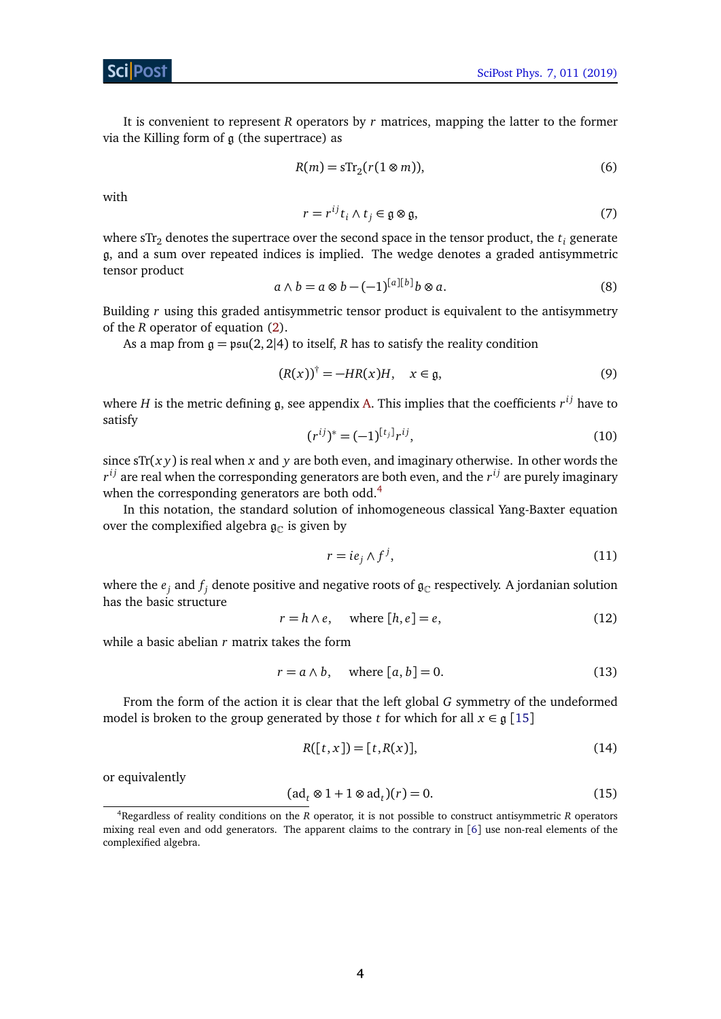It is convenient to represent *R* operators by *r* matrices, mapping the latter to the former via the Killing form of  $\mathfrak g$  (the supertrace) as

$$
R(m) = s \text{Tr}_2(r(1 \otimes m)), \tag{6}
$$

with

$$
r = r^{ij} t_i \wedge t_j \in \mathfrak{g} \otimes \mathfrak{g},\tag{7}
$$

where  $STr<sub>2</sub>$  denotes the supertrace over the second space in the tensor product, the  $t<sub>i</sub>$  generate g, and a sum over repeated indices is implied. The wedge denotes a graded antisymmetric tensor product

$$
a \wedge b = a \otimes b - (-1)^{[a][b]} b \otimes a. \tag{8}
$$

Building *r* using this graded antisymmetric tensor product is equivalent to the antisymmetry of the *R* operator of equation [\(2\)](#page-2-3).

As a map from  $g = \mathfrak{psu}(2, 2|4)$  to itself, *R* has to satisfy the reality condition

$$
(R(x))^\dagger = -HR(x)H, \quad x \in \mathfrak{g},\tag{9}
$$

where *H* is the metric defining g, see appendix [A.](#page-11-0) This implies that the coefficients  $r^{ij}$  have to satisfy

$$
(r^{ij})^* = (-1)^{[t_j]} r^{ij}, \tag{10}
$$

since  $sTr(x y)$  is real when *x* and *y* are both even, and imaginary otherwise. In other words the  $r^{ij}$  are real when the corresponding generators are both even, and the  $r^{ij}$  are purely imaginary when the corresponding generators are both odd.<sup>[4](#page-3-0)</sup>

In this notation, the standard solution of inhomogeneous classical Yang-Baxter equation over the complexified algebra  $\mathfrak{g}_{\mathbb{C}}$  is given by

$$
r = ie_j \wedge f^j,\tag{11}
$$

where the  $e_j$  and  $f_j$  denote positive and negative roots of  $\mathfrak{g}_\mathbb{C}$  respectively. A jordanian solution has the basic structure

<span id="page-3-1"></span>
$$
r = h \wedge e, \quad \text{where } [h, e] = e,
$$
\n(12)

while a basic abelian *r* matrix takes the form

$$
r = a \wedge b, \quad \text{where } [a, b] = 0. \tag{13}
$$

From the form of the action it is clear that the left global *G* symmetry of the undeformed model is broken to the group generated by those *t* for which for all  $x \in \mathfrak{g}$  [[15](#page-14-12)]

$$
R([t, x]) = [t, R(x)],\tag{14}
$$

or equivalently

$$
(\mathrm{ad}_t \otimes 1 + 1 \otimes \mathrm{ad}_t)(r) = 0. \tag{15}
$$

<span id="page-3-0"></span><sup>4</sup>Regardless of reality conditions on the *R* operator, it is not possible to construct antisymmetric *R* operators mixing real even and odd generators. The apparent claims to the contrary in [[6](#page-13-6)] use non-real elements of the complexified algebra.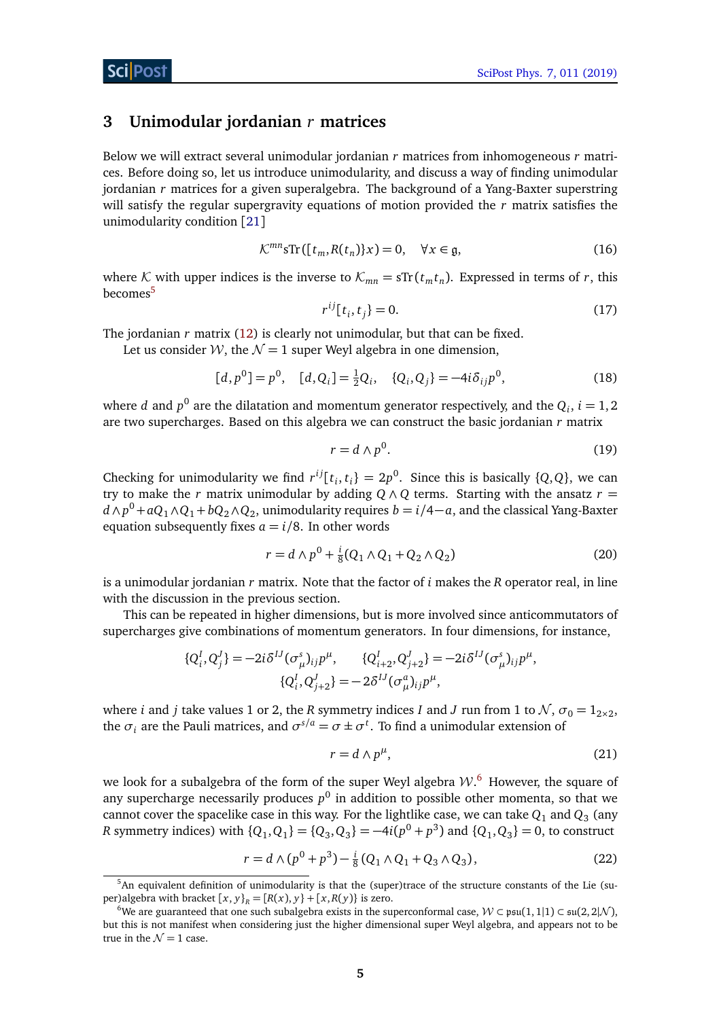### <span id="page-4-0"></span>**3 Unimodular jordanian** *r* **matrices**

Below we will extract several unimodular jordanian *r* matrices from inhomogeneous *r* matrices. Before doing so, let us introduce unimodularity, and discuss a way of finding unimodular jordanian *r* matrices for a given superalgebra. The background of a Yang-Baxter superstring will satisfy the regular supergravity equations of motion provided the *r* matrix satisfies the unimodularity condition [[21](#page-14-6)]

$$
\mathcal{K}^{mn} \text{STr}([t_m, R(t_n)]x) = 0, \quad \forall x \in \mathfrak{g},\tag{16}
$$

where K with upper indices is the inverse to  $\mathcal{K}_{mn} = sTr(t_m t_n)$ . Expressed in terms of r, this becomes<sup>[5](#page-4-1)</sup>

$$
r^{ij}[t_i, t_j] = 0.
$$
 (17)

The jordanian *r* matrix [\(12\)](#page-3-1) is clearly not unimodular, but that can be fixed.

Let us consider W, the  $\mathcal{N} = 1$  super Weyl algebra in one dimension,

$$
[d, p^{0}] = p^{0}, \quad [d, Q_{i}] = \frac{1}{2}Q_{i}, \quad \{Q_{i}, Q_{j}\} = -4i\delta_{ij}p^{0}, \tag{18}
$$

where  $d$  and  $p^0$  are the dilatation and momentum generator respectively, and the  $Q_i$ ,  $i=1,2$ are two supercharges. Based on this algebra we can construct the basic jordanian *r* matrix

$$
r = d \wedge p^0. \tag{19}
$$

Checking for unimodularity we find  $r^{ij}[t_i, t_i] = 2p^0$ . Since this is basically  $\{Q, Q\}$ , we can try to make the *r* matrix unimodular by adding  $Q \wedge Q$  terms. Starting with the ansatz  $r =$ *d* ∧  $p^0$  +  $aQ_1$  ∧  $Q_1$  +  $bQ_2$  ∧  $Q_2$ , unimodularity requires  $b = i/4 - a$ , and the classical Yang-Baxter equation subsequently fixes  $a = i/8$ . In other words

$$
r = d \wedge p^{0} + \frac{i}{8} (Q_{1} \wedge Q_{1} + Q_{2} \wedge Q_{2})
$$
\n(20)

is a unimodular jordanian *r* matrix. Note that the factor of *i* makes the *R* operator real, in line with the discussion in the previous section.

This can be repeated in higher dimensions, but is more involved since anticommutators of supercharges give combinations of momentum generators. In four dimensions, for instance,

$$
\{Q_i^I, Q_j^J\} = -2i\delta^{IJ}(\sigma^s_\mu)_{ij}p^\mu, \qquad \{Q_{i+2}^I, Q_{j+2}^J\} = -2i\delta^{IJ}(\sigma^s_\mu)_{ij}p^\mu,
$$
  

$$
\{Q_i^I, Q_{j+2}^J\} = -2\delta^{IJ}(\sigma^a_\mu)_{ij}p^\mu,
$$

where *i* and *j* take values 1 or 2, the *R* symmetry indices *I* and *J* run from 1 to  $\mathcal{N}, \sigma_0 = 1_{2 \times 2}$ , the  $\sigma_i$  are the Pauli matrices, and  $\sigma^{s/a} = \sigma \pm \sigma^t$ . To find a unimodular extension of

<span id="page-4-3"></span>
$$
r = d \wedge p^{\mu}, \tag{21}
$$

we look for a subalgebra of the form of the super Weyl algebra  $\mathcal{W}.^6$  $\mathcal{W}.^6$  However, the square of any supercharge necessarily produces  $p^0$  in addition to possible other momenta, so that we cannot cover the spacelike case in this way. For the lightlike case, we can take  $Q_1$  and  $Q_3$  (any *R* symmetry indices) with  $\{Q_1, Q_1\} = \{Q_3, Q_3\} = -4i(p^0 + p^3)$  and  $\{Q_1, Q_3\} = 0$ , to construct

$$
r = d \wedge (p^{0} + p^{3}) - \frac{i}{8} (Q_{1} \wedge Q_{1} + Q_{3} \wedge Q_{3}), \qquad (22)
$$

<span id="page-4-1"></span><sup>&</sup>lt;sup>5</sup>An equivalent definition of unimodularity is that the (super)trace of the structure constants of the Lie (super)algebra with bracket  $[x, y]_R = [R(x), y] + [x, R(y)]$  is zero.

<span id="page-4-2"></span><sup>&</sup>lt;sup>6</sup>We are guaranteed that one such subalgebra exists in the superconformal case,  $W \subset \mathfrak{psu}(1,1|1) \subset \mathfrak{su}(2,2|N)$ , but this is not manifest when considering just the higher dimensional super Weyl algebra, and appears not to be true in the  $\mathcal{N} = 1$  case.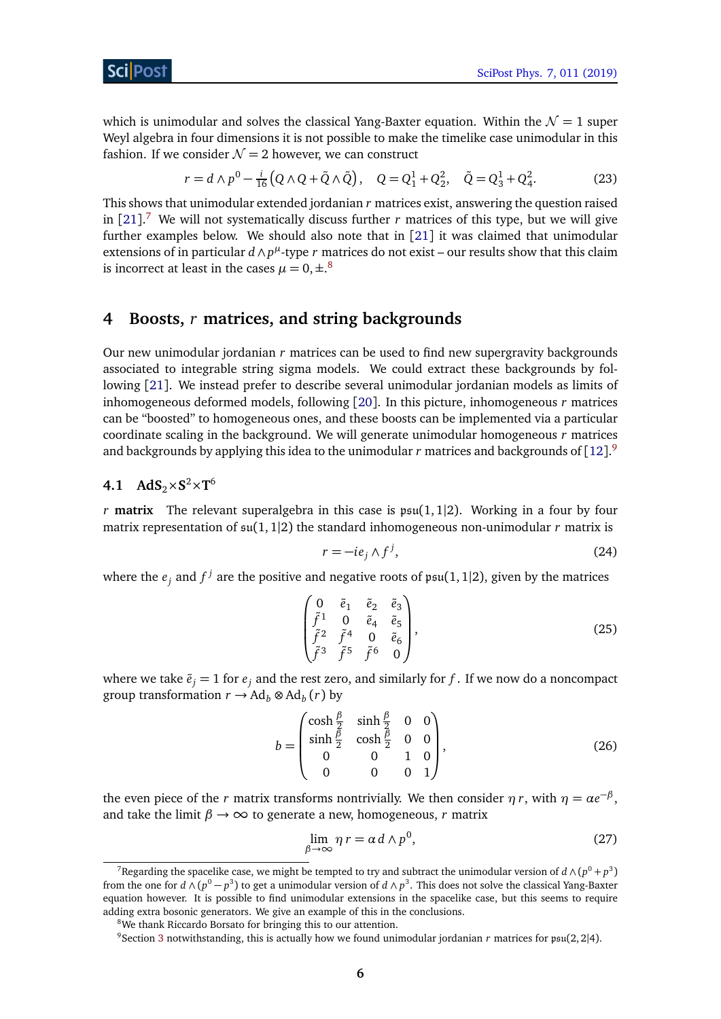which is unimodular and solves the classical Yang-Baxter equation. Within the  $\mathcal{N} = 1$  super Weyl algebra in four dimensions it is not possible to make the timelike case unimodular in this fashion. If we consider  $\mathcal{N} = 2$  however, we can construct

$$
r = d \wedge p^{0} - \frac{i}{16} \left( Q \wedge Q + \tilde{Q} \wedge \tilde{Q} \right), \quad Q = Q_{1}^{1} + Q_{2}^{2}, \quad \tilde{Q} = Q_{3}^{1} + Q_{4}^{2}.
$$
 (23)

This shows that unimodular extended jordanian *r* matrices exist, answering the question raised in [[21](#page-14-6)]. [7](#page-5-2) We will not systematically discuss further *r* matrices of this type, but we will give further examples below. We should also note that in [[21](#page-14-6)] it was claimed that unimodular extensions of in particular  $d \wedge p^{\mu}$ -type  $r$  matrices do not exist – our results show that this claim is incorrect at least in the cases  $\mu = 0, \pm .^8$  $\mu = 0, \pm .^8$ 

## <span id="page-5-0"></span>**4 Boosts,** *r* **matrices, and string backgrounds**

Our new unimodular jordanian *r* matrices can be used to find new supergravity backgrounds associated to integrable string sigma models. We could extract these backgrounds by following [[21](#page-14-6)]. We instead prefer to describe several unimodular jordanian models as limits of inhomogeneous deformed models, following [[20](#page-14-5)]. In this picture, inhomogeneous *r* matrices can be "boosted" to homogeneous ones, and these boosts can be implemented via a particular coordinate scaling in the background. We will generate unimodular homogeneous *r* matrices and backgrounds by applying this idea to the unimodular  $r$  matrices and backgrounds of  $[12].^9$  $[12].^9$  $[12].^9$  $[12].^9$ 

# <span id="page-5-1"></span>**4.1**  $AdS_2 \times S^2 \times T^6$

*r* **matrix** The relevant superalgebra in this case is  $psu(1, 1|2)$ . Working in a four by four matrix representation of  $\mathfrak{su}(1,1|2)$  the standard inhomogeneous non-unimodular *r* matrix is

$$
r = -ie_j \wedge f^j,\tag{24}
$$

where the  $e_j$  and  $f^j$  are the positive and negative roots of  $\mathfrak{psu}(1,1|2)$ , given by the matrices

$$
\begin{pmatrix}\n0 & \tilde{e}_1 & \tilde{e}_2 & \tilde{e}_3 \\
\tilde{f}^1 & 0 & \tilde{e}_4 & \tilde{e}_5 \\
\tilde{f}^2 & \tilde{f}^4 & 0 & \tilde{e}_6 \\
\tilde{f}^3 & \tilde{f}^5 & \tilde{f}^6 & 0\n\end{pmatrix},
$$
\n(25)

where we take  $\tilde{e}_i = 1$  for  $e_i$  and the rest zero, and similarly for f. If we now do a noncompact group transformation  $r \to \text{Ad}_b \otimes \text{Ad}_b(r)$  by

$$
b = \begin{pmatrix} \cosh\frac{\beta}{2} & \sinh\frac{\beta}{2} & 0 & 0\\ \sinh\frac{\beta}{2} & \cosh\frac{\beta}{2} & 0 & 0\\ 0 & 0 & 1 & 0\\ 0 & 0 & 0 & 1 \end{pmatrix},
$$
(26)

the even piece of the *r* matrix transforms nontrivially. We then consider  $\eta r$ , with  $\eta = \alpha e^{-\beta}$ , and take the limit  $\beta \rightarrow \infty$  to generate a new, homogeneous, *r* matrix

$$
\lim_{\beta \to \infty} \eta \, r = \alpha \, d \wedge p^0,\tag{27}
$$

<span id="page-5-2"></span> $^7$ Regarding the spacelike case, we might be tempted to try and subtract the unimodular version of  $d \wedge (p^0 + p^3)$ from the one for  $d \wedge (p^0 - p^3)$  to get a unimodular version of  $d \wedge p^3.$  This does not solve the classical Yang-Baxter equation however. It is possible to find unimodular extensions in the spacelike case, but this seems to require adding extra bosonic generators. We give an example of this in the conclusions.

<span id="page-5-3"></span><sup>&</sup>lt;sup>8</sup>We thank Riccardo Borsato for bringing this to our attention.

<span id="page-5-4"></span><sup>&</sup>lt;sup>9</sup>Section [3](#page-4-0) notwithstanding, this is actually how we found unimodular jordanian *r* matrices for psu(2, 2|4).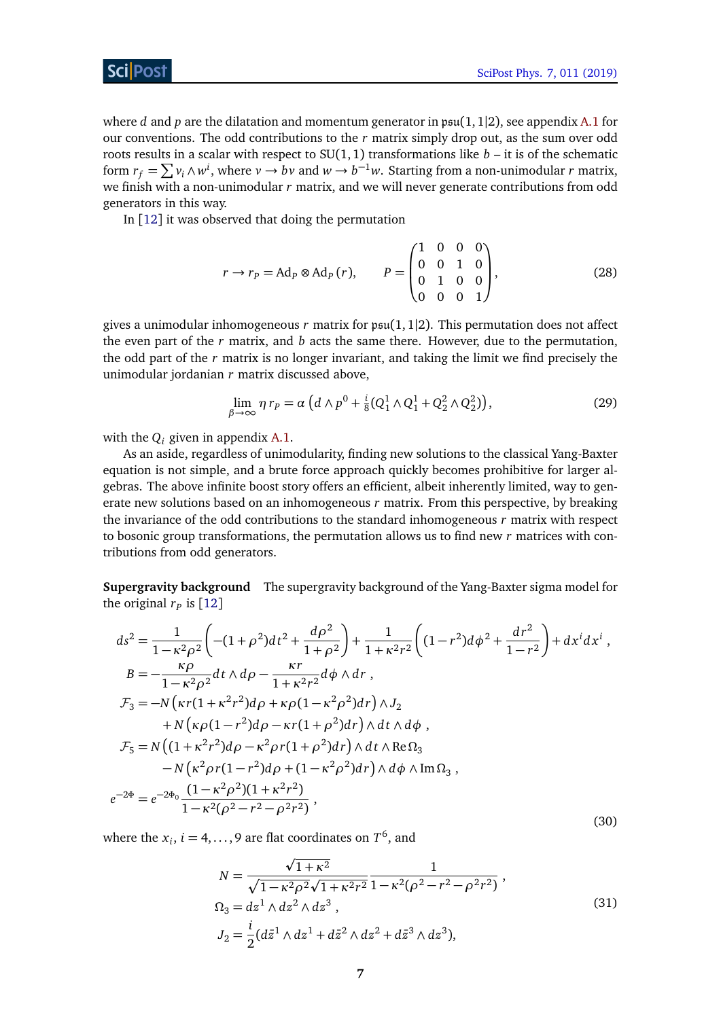where *d* and *p* are the dilatation and momentum generator in  $psu(1, 1|2)$ , see appendix [A.1](#page-11-1) for our conventions. The odd contributions to the *r* matrix simply drop out, as the sum over odd roots results in a scalar with respect to  $SU(1, 1)$  transformations like  $b -$ it is of the schematic form  $r_f = \sum v_i \wedge w^i$ , where  $v \to bv$  and  $w \to b^{-1}w$ . Starting from a non-unimodular *r* matrix, we finish with a non-unimodular *r* matrix, and we will never generate contributions from odd generators in this way.

In [[12](#page-14-2)] it was observed that doing the permutation

$$
r \to r_P = \text{Ad}_P \otimes \text{Ad}_P(r), \qquad P = \begin{pmatrix} 1 & 0 & 0 & 0 \\ 0 & 0 & 1 & 0 \\ 0 & 1 & 0 & 0 \\ 0 & 0 & 0 & 1 \end{pmatrix}, \tag{28}
$$

gives a unimodular inhomogeneous  $r$  matrix for  $\mathfrak{psu}(1,1|2)$ . This permutation does not affect the even part of the *r* matrix, and *b* acts the same there. However, due to the permutation, the odd part of the *r* matrix is no longer invariant, and taking the limit we find precisely the unimodular jordanian *r* matrix discussed above,

$$
\lim_{\beta \to \infty} \eta \, r_p = \alpha \left( d \wedge p^0 + \frac{i}{8} (Q_1^1 \wedge Q_1^1 + Q_2^2 \wedge Q_2^2) \right),\tag{29}
$$

with the  $Q_i$  given in appendix [A.1.](#page-11-1)

As an aside, regardless of unimodularity, finding new solutions to the classical Yang-Baxter equation is not simple, and a brute force approach quickly becomes prohibitive for larger algebras. The above infinite boost story offers an efficient, albeit inherently limited, way to generate new solutions based on an inhomogeneous *r* matrix. From this perspective, by breaking the invariance of the odd contributions to the standard inhomogeneous *r* matrix with respect to bosonic group transformations, the permutation allows us to find new *r* matrices with contributions from odd generators.

**Supergravity background** The supergravity background of the Yang-Baxter sigma model for the original  $r_p$  is  $[12]$  $[12]$  $[12]$ 

$$
ds^{2} = \frac{1}{1 - \kappa^{2} \rho^{2}} \left( -(1 + \rho^{2})dt^{2} + \frac{d\rho^{2}}{1 + \rho^{2}} \right) + \frac{1}{1 + \kappa^{2} r^{2}} \left( (1 - r^{2})d\phi^{2} + \frac{dr^{2}}{1 - r^{2}} \right) + dx^{i} dx^{i} ,
$$
  
\n
$$
B = -\frac{\kappa \rho}{1 - \kappa^{2} \rho^{2}} dt \wedge d\rho - \frac{\kappa r}{1 + \kappa^{2} r^{2}} d\phi \wedge dr ,
$$
  
\n
$$
\mathcal{F}_{3} = -N \left( \kappa r (1 + \kappa^{2} r^{2}) d\rho + \kappa \rho (1 - \kappa^{2} \rho^{2}) dr \right) \wedge J_{2}
$$
  
\n
$$
+ N \left( \kappa \rho (1 - r^{2}) d\rho - \kappa r (1 + \rho^{2}) dr \right) \wedge dt \wedge d\phi ,
$$
  
\n
$$
\mathcal{F}_{5} = N \left( (1 + \kappa^{2} r^{2}) d\rho - \kappa^{2} \rho r (1 + \rho^{2}) dr \right) \wedge dt \wedge \text{Re}\,\Omega_{3}
$$
  
\n
$$
- N \left( \kappa^{2} \rho r (1 - r^{2}) d\rho + (1 - \kappa^{2} \rho^{2}) dr \right) \wedge d\phi \wedge \text{Im}\,\Omega_{3},
$$
  
\n
$$
e^{-2\Phi} = e^{-2\Phi_{0}} \frac{(1 - \kappa^{2} \rho^{2})(1 + \kappa^{2} r^{2})}{1 - \kappa^{2} (\rho^{2} - r^{2} - \rho^{2} r^{2})},
$$
  
\n(30)

where the  $x_i$ ,  $i = 4, \ldots, 9$  are flat coordinates on  $T^6$ , and

$$
N = \frac{\sqrt{1 + \kappa^2}}{\sqrt{1 - \kappa^2 \rho^2} \sqrt{1 + \kappa^2 r^2}} \frac{1}{1 - \kappa^2 (\rho^2 - r^2 - \rho^2 r^2)},
$$
  
\n
$$
\Omega_3 = dz^1 \wedge dz^2 \wedge dz^3 ,
$$
  
\n
$$
J_2 = \frac{i}{2} (d\bar{z}^1 \wedge dz^1 + d\bar{z}^2 \wedge dz^2 + d\bar{z}^3 \wedge dz^3),
$$
  
\n(31)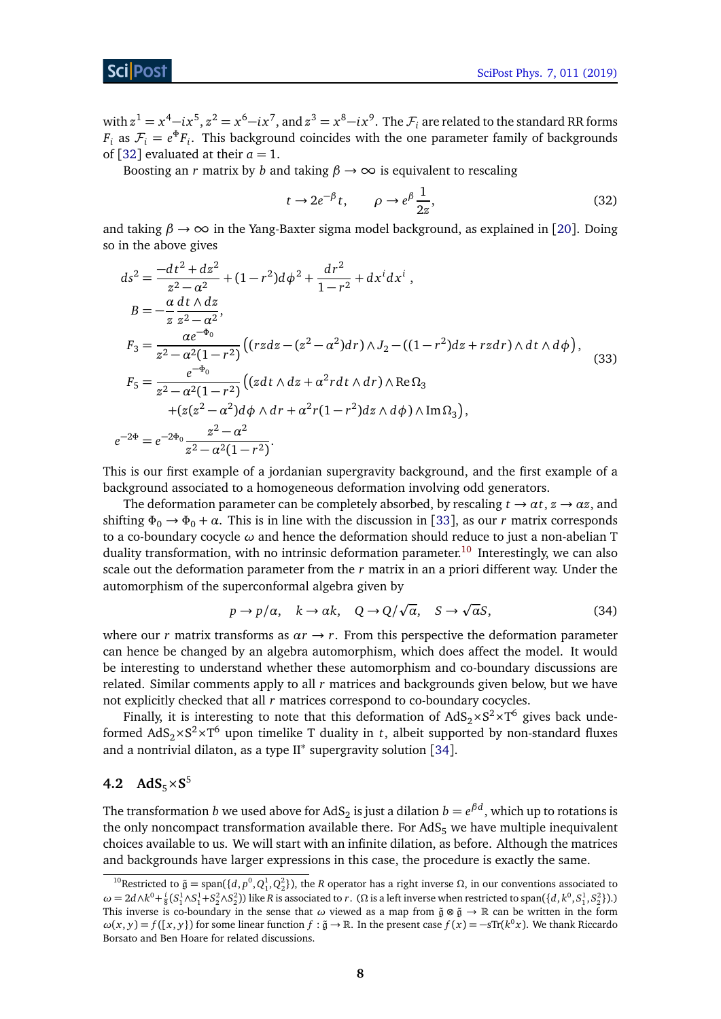*e*

with  $z^1 = x^4 - ix^5$ ,  $z^2 = x^6 - ix^7$ , and  $z^3 = x^8 - ix^9$ . The  $\mathcal{F}_i$  are related to the standard RR forms *F*<sub>*i*</sub> as  $\mathcal{F}_i = e^{\Phi} F_i$ . This background coincides with the one parameter family of backgrounds of [[32](#page-15-5)] evaluated at their  $a = 1$ .

Boosting an *r* matrix by *b* and taking  $\beta \rightarrow \infty$  is equivalent to rescaling

$$
t \to 2e^{-\beta} t, \qquad \rho \to e^{\beta} \frac{1}{2z}, \tag{32}
$$

and taking  $\beta \rightarrow \infty$  in the Yang-Baxter sigma model background, as explained in [[20](#page-14-5)]. Doing so in the above gives

$$
ds^{2} = \frac{-dt^{2} + dz^{2}}{z^{2} - \alpha^{2}} + (1 - r^{2})d\phi^{2} + \frac{dr^{2}}{1 - r^{2}} + dx^{i}dx^{i},
$$
\n
$$
B = -\frac{\alpha}{z} \frac{dt \wedge dz}{z^{2} - \alpha^{2}},
$$
\n
$$
F_{3} = \frac{\alpha e^{-\Phi_{0}}}{z^{2} - \alpha^{2}(1 - r^{2})} \Big( (rzdz - (z^{2} - \alpha^{2})dr) \wedge J_{2} - ((1 - r^{2})dz + rzdr) \wedge dt \wedge d\phi \Big),
$$
\n
$$
F_{5} = \frac{e^{-\Phi_{0}}}{z^{2} - \alpha^{2}(1 - r^{2})} \Big( (zdt \wedge dz + \alpha^{2}rdt \wedge dr) \wedge \text{Re}\,\Omega_{3} + (z(z^{2} - \alpha^{2})d\phi \wedge dr + \alpha^{2}r(1 - r^{2})dz \wedge d\phi) \wedge \text{Im}\,\Omega_{3} \Big),
$$
\n
$$
-2\Phi = e^{-2\Phi_{0}} \frac{z^{2} - \alpha^{2}}{z^{2} - \alpha^{2}(1 - r^{2})}.
$$
\n(33)

This is our first example of a jordanian supergravity background, and the first example of a background associated to a homogeneous deformation involving odd generators.

The deformation parameter can be completely absorbed, by rescaling  $t \to \alpha t$ ,  $z \to \alpha z$ , and shifting  $\Phi_0 \rightarrow \Phi_0 + \alpha$ . This is in line with the discussion in [[33](#page-15-6)], as our *r* matrix corresponds to a co-boundary cocycle *ω* and hence the deformation should reduce to just a non-abelian T duality transformation, with no intrinsic deformation parameter.<sup>[10](#page-7-1)</sup> Interestingly, we can also scale out the deformation parameter from the *r* matrix in an a priori different way. Under the automorphism of the superconformal algebra given by p p

$$
p \to p/\alpha, \quad k \to \alpha k, \quad Q \to Q/\sqrt{\alpha}, \quad S \to \sqrt{\alpha} S,\tag{34}
$$

where our *r* matrix transforms as  $\alpha r \rightarrow r$ . From this perspective the deformation parameter can hence be changed by an algebra automorphism, which does affect the model. It would be interesting to understand whether these automorphism and co-boundary discussions are related. Similar comments apply to all *r* matrices and backgrounds given below, but we have not explicitly checked that all *r* matrices correspond to co-boundary cocycles.

Finally, it is interesting to note that this deformation of  $AdS_2\times S^2\times T^6$  gives back undeformed  $AdS_2\times S^2\times T^6$  upon timelike T duality in *t*, albeit supported by non-standard fluxes and a nontrivial dilaton, as a type II<sup>∗</sup> supergravity solution [[34](#page-15-7)].

# <span id="page-7-0"></span>4.2  $AdS_5 \times S^5$

The transformation  $b$  we used above for AdS $_2$  is just a dilation  $b=e^{\beta d},$  which up to rotations is the only noncompact transformation available there. For  $AdS_5$  we have multiple inequivalent choices available to us. We will start with an infinite dilation, as before. Although the matrices and backgrounds have larger expressions in this case, the procedure is exactly the same.

<span id="page-7-1"></span><sup>&</sup>lt;sup>10</sup>Restricted to  $\tilde{\mathfrak{g}} = \text{span}(\{d, p^0, Q_1^1, Q_2^2\})$ , the *R* operator has a right inverse Ω, in our conventions associated to  $\omega = 2d\wedge k^0 + \frac{i}{8}(S_1^1 \wedge S_1^1 + S_2^2 \wedge S_2^2)$ ) like R is associated to r. ( $\Omega$  is a left inverse when restricted to span({d, k<sup>0</sup>, S<sub>1</sub>, S<sub>2</sub>}).) This inverse is co-boundary in the sense that  $\omega$  viewed as a map from  $\tilde{\mathfrak{g}} \otimes \tilde{\mathfrak{g}} \to \mathbb{R}$  can be written in the form  $ω(x, y) = f([x, y])$  for some linear function  $f : \tilde{g} \to \mathbb{R}$ . In the present case  $f(x) = -sTr(k^0 x)$ . We thank Riccardo Borsato and Ben Hoare for related discussions.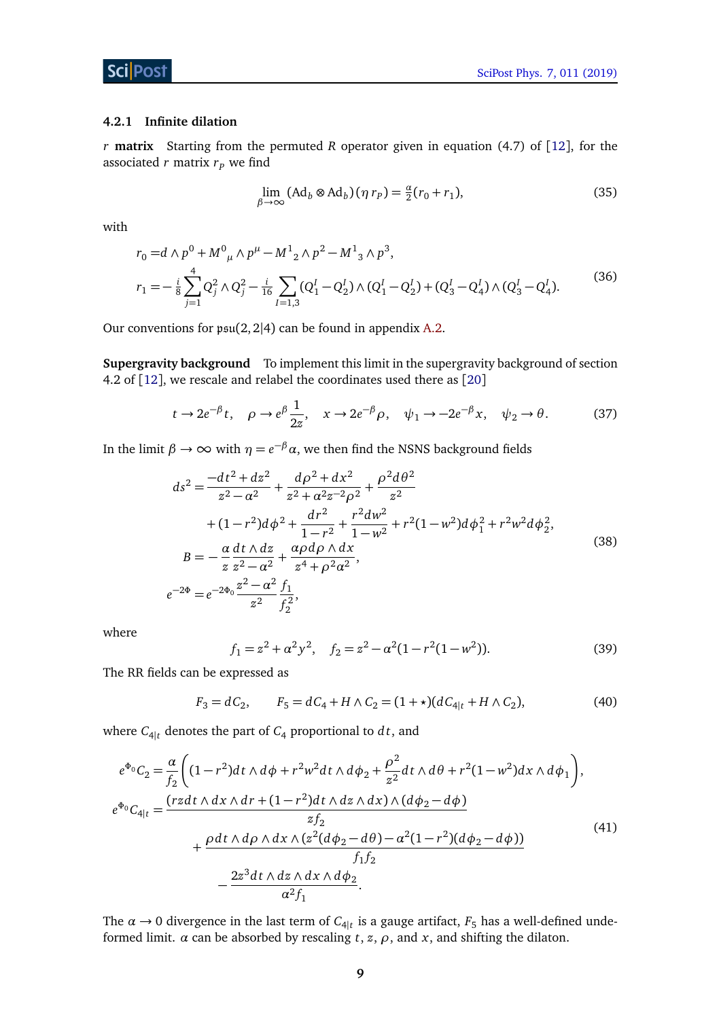#### <span id="page-8-0"></span>**4.2.1 Infinite dilation**

*r* **matrix** Starting from the permuted *R* operator given in equation (4.7) of [[12](#page-14-2)], for the associated  $r$  matrix  $r_p$  we find

<span id="page-8-1"></span>
$$
\lim_{\beta \to \infty} (\text{Ad}_b \otimes \text{Ad}_b)(\eta r_p) = \frac{a}{2}(r_0 + r_1),\tag{35}
$$

with

$$
r_0 = d \wedge p^0 + M^0{}_{\mu} \wedge p^{\mu} - M^1{}_{2} \wedge p^2 - M^1{}_{3} \wedge p^3,
$$
  
\n
$$
r_1 = -\frac{i}{8} \sum_{j=1}^4 Q_j^2 \wedge Q_j^2 - \frac{i}{16} \sum_{I=1,3} (Q_1^I - Q_2^I) \wedge (Q_1^I - Q_2^I) + (Q_3^I - Q_4^I) \wedge (Q_3^I - Q_4^I).
$$
\n(36)

Our conventions for  $\mathfrak{psu}(2,2|4)$  can be found in appendix [A.2.](#page-12-0)

**Supergravity background** To implement this limit in the supergravity background of section 4.2 of [[12](#page-14-2)], we rescale and relabel the coordinates used there as [[20](#page-14-5)]

<span id="page-8-2"></span>
$$
t \to 2e^{-\beta}t, \quad \rho \to e^{\beta}\frac{1}{2z}, \quad x \to 2e^{-\beta}\rho, \quad \psi_1 \to -2e^{-\beta}x, \quad \psi_2 \to \theta. \tag{37}
$$

In the limit  $β → ∞$  with  $η = e^{-β} α$ , we then find the NSNS background fields

$$
ds^{2} = \frac{-dt^{2} + dz^{2}}{z^{2} - \alpha^{2}} + \frac{d\rho^{2} + dx^{2}}{z^{2} + \alpha^{2}z^{-2}\rho^{2}} + \frac{\rho^{2}d\theta^{2}}{z^{2}}
$$
  
+  $(1 - r^{2})d\phi^{2} + \frac{dr^{2}}{1 - r^{2}} + \frac{r^{2}dw^{2}}{1 - w^{2}} + r^{2}(1 - w^{2})d\phi_{1}^{2} + r^{2}w^{2}d\phi_{2}^{2},$   

$$
B = -\frac{\alpha}{z}\frac{dt \wedge dz}{z^{2} - \alpha^{2}} + \frac{\alpha\rho d\rho \wedge dx}{z^{4} + \rho^{2}\alpha^{2}},
$$
  

$$
e^{-2\Phi} = e^{-2\Phi_{0}}\frac{z^{2} - \alpha^{2}}{z^{2}}\frac{f_{1}}{f_{2}^{2}},
$$
  
(38)

where

<span id="page-8-3"></span>
$$
f_1 = z^2 + \alpha^2 y^2, \quad f_2 = z^2 - \alpha^2 (1 - r^2 (1 - w^2)).
$$
 (39)

The RR fields can be expressed as

$$
F_3 = dC_2, \qquad F_5 = dC_4 + H \wedge C_2 = (1 + \star)(dC_{4|t} + H \wedge C_2), \tag{40}
$$

where  $C_{4|t}$  denotes the part of  $C_4$  proportional to  $dt$ , and

$$
e^{\Phi_0}C_2 = \frac{\alpha}{f_2} \bigg( (1 - r^2)dt \wedge d\phi + r^2 w^2 dt \wedge d\phi_2 + \frac{\rho^2}{z^2} dt \wedge d\theta + r^2 (1 - w^2) dx \wedge d\phi_1 \bigg),
$$
  
\n
$$
e^{\Phi_0}C_{4|t} = \frac{(r z dt \wedge dx \wedge dr + (1 - r^2) dt \wedge dz \wedge dx) \wedge (d\phi_2 - d\phi)}{zf_2} + \frac{\rho dt \wedge d\rho \wedge dx \wedge (z^2 (d\phi_2 - d\theta) - \alpha^2 (1 - r^2) (d\phi_2 - d\phi))}{f_1 f_2} - \frac{2z^3 dt \wedge dz \wedge dx \wedge d\phi_2}{\alpha^2 f_1}.
$$
\n(41)

The  $\alpha \rightarrow 0$  divergence in the last term of  $C_{4|t}$  is a gauge artifact,  $F_5$  has a well-defined undeformed limit.  $\alpha$  can be absorbed by rescaling  $t$ ,  $z$ ,  $\rho$ , and  $x$ , and shifting the dilaton.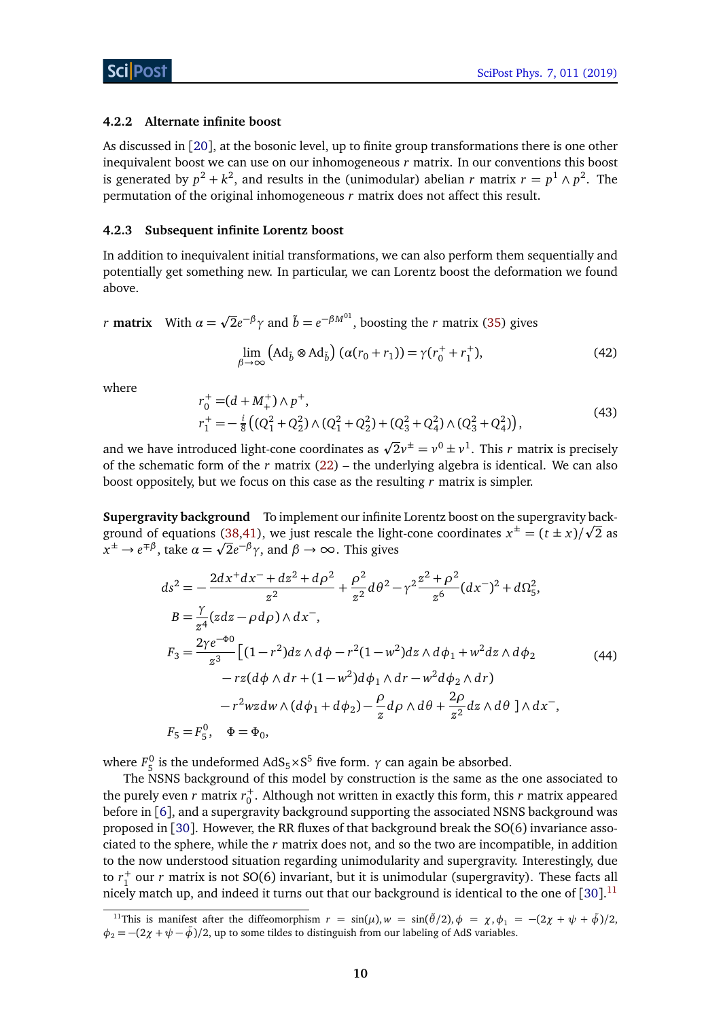#### <span id="page-9-0"></span>**4.2.2 Alternate infinite boost**

As discussed in [[20](#page-14-5)], at the bosonic level, up to finite group transformations there is one other inequivalent boost we can use on our inhomogeneous *r* matrix. In our conventions this boost is generated by  $p^2 + k^2$ , and results in the (unimodular) abelian *r* matrix  $r = p^1 \wedge p^2$ . The permutation of the original inhomogeneous *r* matrix does not affect this result.

#### <span id="page-9-1"></span>**4.2.3 Subsequent infinite Lorentz boost**

In addition to inequivalent initial transformations, we can also perform them sequentially and potentially get something new. In particular, we can Lorentz boost the deformation we found above.

*r* **matrix** With  $\alpha =$ p  $\overline{2}e^{-\beta}\gamma$  and  $\tilde{b} = e^{-\beta M^{01}}$ , boosting the *r* matrix [\(35\)](#page-8-1) gives

$$
\lim_{\beta \to \infty} \left( \text{Ad}_{\tilde{b}} \otimes \text{Ad}_{\tilde{b}} \right) \left( \alpha (r_0 + r_1) \right) = \gamma (r_0^+ + r_1^+),\tag{42}
$$

where

$$
r_0^+ = (d + M_+^+) \wedge p^+, r_1^+ = -\frac{i}{8} \left( (Q_1^2 + Q_2^2) \wedge (Q_1^2 + Q_2^2) + (Q_3^2 + Q_4^2) \wedge (Q_3^2 + Q_4^2) \right),
$$
(43)

and we have introduced light-cone coordinates as  $\sqrt{2}v^{\pm} = v^0 \pm v^1$ . This *r* matrix is precisely of the schematic form of the  $r$  matrix  $(22)$  – the underlying algebra is identical. We can also boost oppositely, but we focus on this case as the resulting *r* matrix is simpler.

**Supergravity background** To implement our infinite Lorentz boost on the supergravity back-ground of equations [\(38](#page-8-2)[,41\)](#page-8-3), we just rescale the light-cone coordinates  $x^{\pm} = (t \pm x)/\sqrt{2}$  as  $\tilde{x}^{\pm} \to e^{\mp \beta}$ , take  $\alpha = \sqrt{2}e^{-\beta} \gamma$ , and  $\beta \to \infty$ . This gives

$$
ds^{2} = -\frac{2dx^{+}dx^{-} + dz^{2} + d\rho^{2}}{z^{2}} + \frac{\rho^{2}}{z^{2}}d\theta^{2} - \gamma^{2}\frac{z^{2} + \rho^{2}}{z^{6}}(dx^{-})^{2} + d\Omega_{5}^{2},
$$
  
\n
$$
B = \frac{\gamma}{z^{4}}(zdz - \rho d\rho) \wedge dx^{-},
$$
  
\n
$$
F_{3} = \frac{2\gamma e^{-\Phi_{0}}}{z^{3}} \Big[ (1 - r^{2})dz \wedge d\phi - r^{2}(1 - w^{2})dz \wedge d\phi_{1} + w^{2}dz \wedge d\phi_{2} - rz(d\phi \wedge dr + (1 - w^{2})d\phi_{1} \wedge dr - w^{2}d\phi_{2} \wedge dr) - r^{2}wzdw \wedge (d\phi_{1} + d\phi_{2}) - \frac{\rho}{z}d\rho \wedge d\theta + \frac{2\rho}{z^{2}}dz \wedge d\theta \Big] \wedge dx^{-},
$$
  
\n
$$
F_{5} = F_{5}^{0}, \quad \Phi = \Phi_{0},
$$
  
\n(44)

where  $F_5^0$  is the undeformed AdS<sub>5</sub>×S<sup>5</sup> five form. *γ* can again be absorbed.

The NSNS background of this model by construction is the same as the one associated to the purely even  $r$  matrix  $r_0^+$ . Although not written in exactly this form, this  $r$  matrix appeared before in [[6](#page-13-6)], and a supergravity background supporting the associated NSNS background was proposed in [[30](#page-15-3)]. However, the RR fluxes of that background break the SO(6) invariance associated to the sphere, while the *r* matrix does not, and so the two are incompatible, in addition to the now understood situation regarding unimodularity and supergravity. Interestingly, due to  $r_1^+$  our *r* matrix is not SO(6) invariant, but it is unimodular (supergravity). These facts all nicely match up, and indeed it turns out that our background is identical to the one of  $[30]$  $[30]$  $[30]$ .<sup>[11](#page-9-2)</sup>

<span id="page-9-2"></span><sup>&</sup>lt;sup>11</sup>This is manifest after the diffeomorphism  $r = sin(\mu)$ ,  $w = sin(\tilde{\theta}/2)$ ,  $\phi = \chi$ ,  $\phi_1 = -(2\chi + \psi + \tilde{\phi})/2$ ,  $\phi_2 = -(2\chi + \psi - \tilde{\phi})/2$ , up to some tildes to distinguish from our labeling of AdS variables.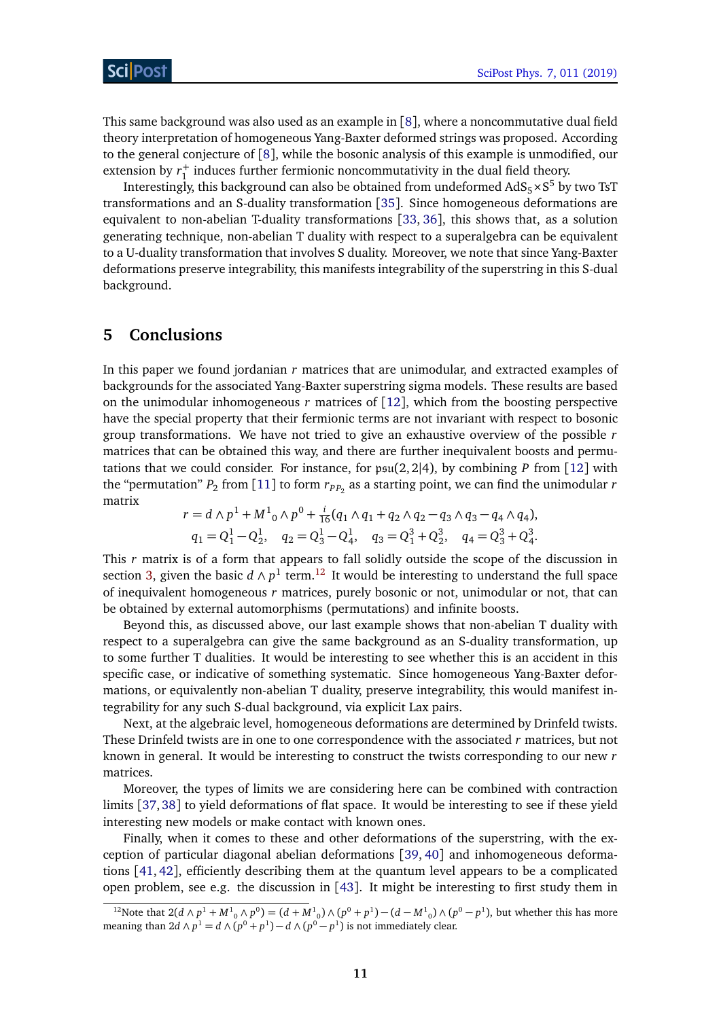This same background was also used as an example in [[8](#page-13-8)], where a noncommutative dual field theory interpretation of homogeneous Yang-Baxter deformed strings was proposed. According to the general conjecture of [[8](#page-13-8)], while the bosonic analysis of this example is unmodified, our extension by  $r_1^+$  induces further fermionic noncommutativity in the dual field theory.

Interestingly, this background can also be obtained from undeformed  $\mathrm{AdS}_5{\times}\mathrm{S}^5$  by two TsT transformations and an S-duality transformation [[35](#page-15-8)]. Since homogeneous deformations are equivalent to non-abelian T-duality transformations [[33,](#page-15-6) [36](#page-15-9)], this shows that, as a solution generating technique, non-abelian T duality with respect to a superalgebra can be equivalent to a U-duality transformation that involves S duality. Moreover, we note that since Yang-Baxter deformations preserve integrability, this manifests integrability of the superstring in this S-dual background.

## <span id="page-10-0"></span>**5 Conclusions**

In this paper we found jordanian *r* matrices that are unimodular, and extracted examples of backgrounds for the associated Yang-Baxter superstring sigma models. These results are based on the unimodular inhomogeneous  $r$  matrices of  $[12]$  $[12]$  $[12]$ , which from the boosting perspective have the special property that their fermionic terms are not invariant with respect to bosonic group transformations. We have not tried to give an exhaustive overview of the possible *r* matrices that can be obtained this way, and there are further inequivalent boosts and permutations that we could consider. For instance, for  $\mathfrak{psu}(2,2|4)$ , by combining *P* from [[12](#page-14-2)] with the "permutation"  $P_2$  from [[11](#page-14-1)] to form  $r_{PP_2}$  as a starting point, we can find the unimodular  $r$ matrix

$$
r = d \wedge p^{1} + M^{1}_{0} \wedge p^{0} + \frac{i}{16}(q_{1} \wedge q_{1} + q_{2} \wedge q_{2} - q_{3} \wedge q_{3} - q_{4} \wedge q_{4}),
$$
  
\n
$$
q_{1} = Q_{1}^{1} - Q_{2}^{1}, \quad q_{2} = Q_{3}^{1} - Q_{4}^{1}, \quad q_{3} = Q_{1}^{3} + Q_{2}^{3}, \quad q_{4} = Q_{3}^{3} + Q_{4}^{3}.
$$

This *r* matrix is of a form that appears to fall solidly outside the scope of the discussion in section [3,](#page-4-0) given the basic  $d \wedge p^1$  term.<sup>[12](#page-10-1)</sup> It would be interesting to understand the full space of inequivalent homogeneous *r* matrices, purely bosonic or not, unimodular or not, that can be obtained by external automorphisms (permutations) and infinite boosts.

Beyond this, as discussed above, our last example shows that non-abelian T duality with respect to a superalgebra can give the same background as an S-duality transformation, up to some further T dualities. It would be interesting to see whether this is an accident in this specific case, or indicative of something systematic. Since homogeneous Yang-Baxter deformations, or equivalently non-abelian T duality, preserve integrability, this would manifest integrability for any such S-dual background, via explicit Lax pairs.

Next, at the algebraic level, homogeneous deformations are determined by Drinfeld twists. These Drinfeld twists are in one to one correspondence with the associated *r* matrices, but not known in general. It would be interesting to construct the twists corresponding to our new *r* matrices.

Moreover, the types of limits we are considering here can be combined with contraction limits [[37,](#page-15-10)[38](#page-15-11)] to yield deformations of flat space. It would be interesting to see if these yield interesting new models or make contact with known ones.

Finally, when it comes to these and other deformations of the superstring, with the exception of particular diagonal abelian deformations [[39,](#page-15-12) [40](#page-15-13)] and inhomogeneous deformations [[41,](#page-15-14) [42](#page-15-15)], efficiently describing them at the quantum level appears to be a complicated open problem, see e.g. the discussion in  $[43]$  $[43]$  $[43]$ . It might be interesting to first study them in

<span id="page-10-1"></span><sup>&</sup>lt;sup>12</sup>Note that 2(*d* ∧ *p*<sup>1</sup> + *M*<sup>1</sup><sub>0</sub></sub> ∧ *p*<sup>0</sup>) = (*d* + *M*<sup>1</sup><sub>0</sub>) ∧ (*p*<sup>0</sup> + *p*<sup>1</sup>) − (*d* − *M*<sup>1</sup><sub>0</sub>) ∧ (*p*<sup>0</sup> − *p*<sup>1</sup>), but whether this has more meaning than  $2d \wedge p^1 = d \wedge (p^0 + p^1) - d \wedge (p^0 - p^1)$  is not immediately clear.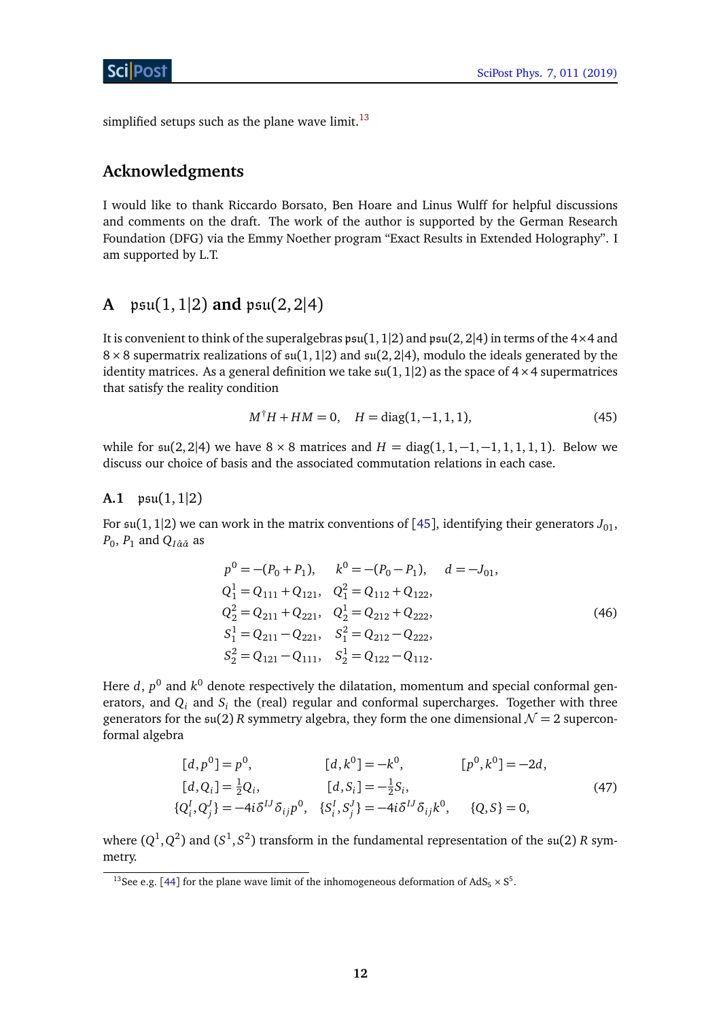simplified setups such as the plane wave limit.<sup>[13](#page-11-2)</sup>

# **Acknowledgments**

I would like to thank Riccardo Borsato, Ben Hoare and Linus Wulff for helpful discussions and comments on the draft. The work of the author is supported by the German Research Foundation (DFG) via the Emmy Noether program "Exact Results in Extended Holography". I am supported by L.T.

# <span id="page-11-0"></span>**A**  $psu(1, 1|2)$  **and**  $psu(2, 2|4)$

It is convenient to think of the superalgebras  $\mathfrak{psu}(1,1|2)$  and  $\mathfrak{psu}(2,2|4)$  in terms of the  $4\times4$  and  $8 \times 8$  supermatrix realizations of  $\mathfrak{su}(1,1|2)$  and  $\mathfrak{su}(2,2|4)$ , modulo the ideals generated by the identity matrices. As a general definition we take  $\mathfrak{su}(1,1|2)$  as the space of  $4\times 4$  supermatrices that satisfy the reality condition

$$
M^{\dagger}H + HM = 0, \quad H = \text{diag}(1, -1, 1, 1), \tag{45}
$$

while for  $\mathfrak{su}(2, 2|4)$  we have  $8 \times 8$  matrices and  $H = \text{diag}(1, 1, -1, -1, 1, 1, 1, 1)$ . Below we discuss our choice of basis and the associated commutation relations in each case.

### <span id="page-11-1"></span>**A.1** psu(1, 1|2)

For  $\mathfrak{su}(1,1|2)$  we can work in the matrix conventions of [[45](#page-16-0)], identifying their generators  $J_{01}$ ,  $P_0$ ,  $P_1$  and  $Q_{I\hat{\alpha}\check{\alpha}}$  as

$$
p^{0} = -(P_{0} + P_{1}), \qquad k^{0} = -(P_{0} - P_{1}), \qquad d = -J_{01},
$$
  
\n
$$
Q_{1}^{1} = Q_{111} + Q_{121}, \qquad Q_{1}^{2} = Q_{112} + Q_{122},
$$
  
\n
$$
Q_{2}^{2} = Q_{211} + Q_{221}, \qquad Q_{2}^{1} = Q_{212} + Q_{222},
$$
  
\n
$$
S_{1}^{1} = Q_{211} - Q_{221}, \qquad S_{1}^{2} = Q_{212} - Q_{222},
$$
  
\n
$$
S_{2}^{2} = Q_{121} - Q_{111}, \qquad S_{2}^{1} = Q_{122} - Q_{112}.
$$
  
\n(46)

Here  $d$ ,  $p^0$  and  $k^0$  denote respectively the dilatation, momentum and special conformal generators, and  $Q_i$  and  $S_i$  the (real) regular and conformal supercharges. Together with three generators for the  $\mathfrak{su}(2)$  *R* symmetry algebra, they form the one dimensional  $\mathcal{N} = 2$  superconformal algebra

$$
[d, p^{0}] = p^{0}, \t [d, k^{0}] = -k^{0}, \t [p^{0}, k^{0}] = -2d,
$$
  
\n
$$
[d, Q_{i}] = \frac{1}{2}Q_{i}, \t [d, S_{i}] = -\frac{1}{2}S_{i},
$$
  
\n
$$
\{Q_{i}^{I}, Q_{j}^{J}\} = -4i\delta^{IJ}\delta_{ij}p^{0}, \t \{S_{i}^{I}, S_{j}^{J}\} = -4i\delta^{IJ}\delta_{ij}k^{0}, \t \{Q, S\} = 0,
$$
\n(47)

where  $(Q^1,Q^2)$  and  $(S^1,S^2)$  transform in the fundamental representation of the  $\mathfrak{su}(2)$  *R* symmetry.

<span id="page-11-2"></span><sup>&</sup>lt;sup>13</sup>See e.g. [[44](#page-16-1)] for the plane wave limit of the inhomogeneous deformation of AdS<sub>5</sub>  $\times$  S<sup>5</sup>.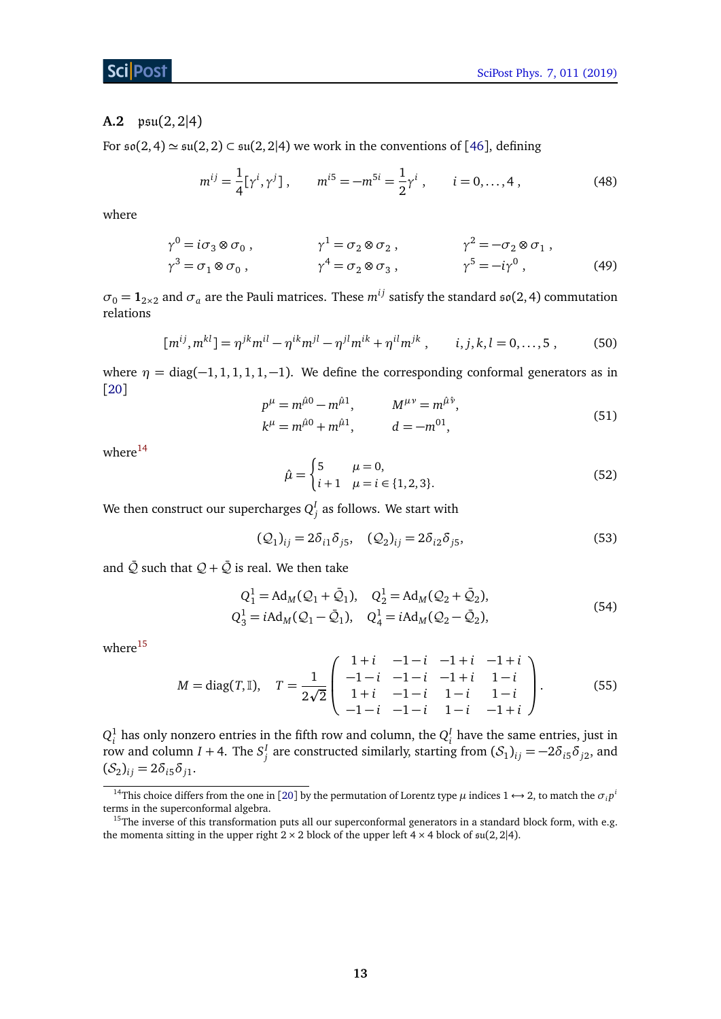### ScilPost

### <span id="page-12-0"></span>**A.2** psu(2, 2|4)

For  $\mathfrak{so}(2,4) \simeq \mathfrak{su}(2,2) \subset \mathfrak{su}(2,2|4)$  we work in the conventions of [[46](#page-16-2)], defining

$$
m^{ij} = \frac{1}{4} [\gamma^i, \gamma^j], \qquad m^{i5} = -m^{5i} = \frac{1}{2} \gamma^i, \qquad i = 0, ..., 4,
$$
 (48)

where

$$
\gamma^0 = i\sigma_3 \otimes \sigma_0 , \qquad \gamma^1 = \sigma_2 \otimes \sigma_2 , \qquad \gamma^2 = -\sigma_2 \otimes \sigma_1 ,
$$
  

$$
\gamma^3 = \sigma_1 \otimes \sigma_0 , \qquad \gamma^4 = \sigma_2 \otimes \sigma_3 , \qquad \gamma^5 = -i\gamma^0 , \qquad (49)
$$

 $\sigma_0 = \mathbf{1}_{2 \times 2}$  and  $\sigma_a$  are the Pauli matrices. These  $m^{ij}$  satisfy the standard  $\mathfrak{so}(2, 4)$  commutation relations

$$
[m^{ij}, m^{kl}] = \eta^{jk} m^{il} - \eta^{ik} m^{jl} - \eta^{jl} m^{ik} + \eta^{il} m^{jk}, \qquad i, j, k, l = 0, ..., 5,
$$
 (50)

where  $\eta = \text{diag}(-1, 1, 1, 1, 1, -1)$ . We define the corresponding conformal generators as in [[20](#page-14-5)]

$$
p^{\mu} = m^{\hat{\mu}0} - m^{\hat{\mu}1}, \qquad M^{\mu\nu} = m^{\hat{\mu}\hat{\nu}}, k^{\mu} = m^{\hat{\mu}0} + m^{\hat{\mu}1}, \qquad d = -m^{01},
$$
 (51)

where $14$ 

$$
\hat{\mu} = \begin{cases} 5 & \mu = 0, \\ i+1 & \mu = i \in \{1,2,3\}. \end{cases}
$$
\n(52)

We then construct our supercharges  $Q_j^I$  as follows. We start with

$$
(\mathcal{Q}_1)_{ij} = 2\delta_{i1}\delta_{j5}, \quad (\mathcal{Q}_2)_{ij} = 2\delta_{i2}\delta_{j5}, \tag{53}
$$

and  $\overline{Q}$  such that  $Q + \overline{Q}$  is real. We then take

$$
Q_1^1 = Ad_M(Q_1 + \bar{Q}_1), \quad Q_2^1 = Ad_M(Q_2 + \bar{Q}_2),
$$
  
\n
$$
Q_3^1 = iAd_M(Q_1 - \bar{Q}_1), \quad Q_4^1 = iAd_M(Q_2 - \bar{Q}_2),
$$
\n(54)

where $15$ 

$$
M = \text{diag}(T, \mathbb{I}), \quad T = \frac{1}{2\sqrt{2}} \begin{pmatrix} 1+i & -1-i & -1+i & -1+i \\ -1-i & -1-i & -1+i & 1-i \\ 1+i & -1-i & 1-i & 1-i \\ -1-i & -1-i & 1-i & -1+i \end{pmatrix}.
$$
 (55)

 $Q_i^1$  has only nonzero entries in the fifth row and column, the  $Q_i^I$  have the same entries, just in row and column *I* + 4. The  $S_j^I$  are constructed similarly, starting from  $(S_1)_{ij} = -2\delta_{i5}\delta_{j2}$ , and  $(S_2)_{ij} = 2\delta_{i5}\delta_{j1}.$ 

<span id="page-12-1"></span><sup>&</sup>lt;sup>14</sup>This choice differs from the one in [[20](#page-14-5)] by the permutation of Lorentz type  $\mu$  indices 1  $\leftrightarrow$  2, to match the  $\sigma_i p^i$ terms in the superconformal algebra.

<span id="page-12-2"></span><sup>&</sup>lt;sup>15</sup>The inverse of this transformation puts all our superconformal generators in a standard block form, with e.g. the momenta sitting in the upper right  $2 \times 2$  block of the upper left  $4 \times 4$  block of  $\mathfrak{su}(2,2|4)$ .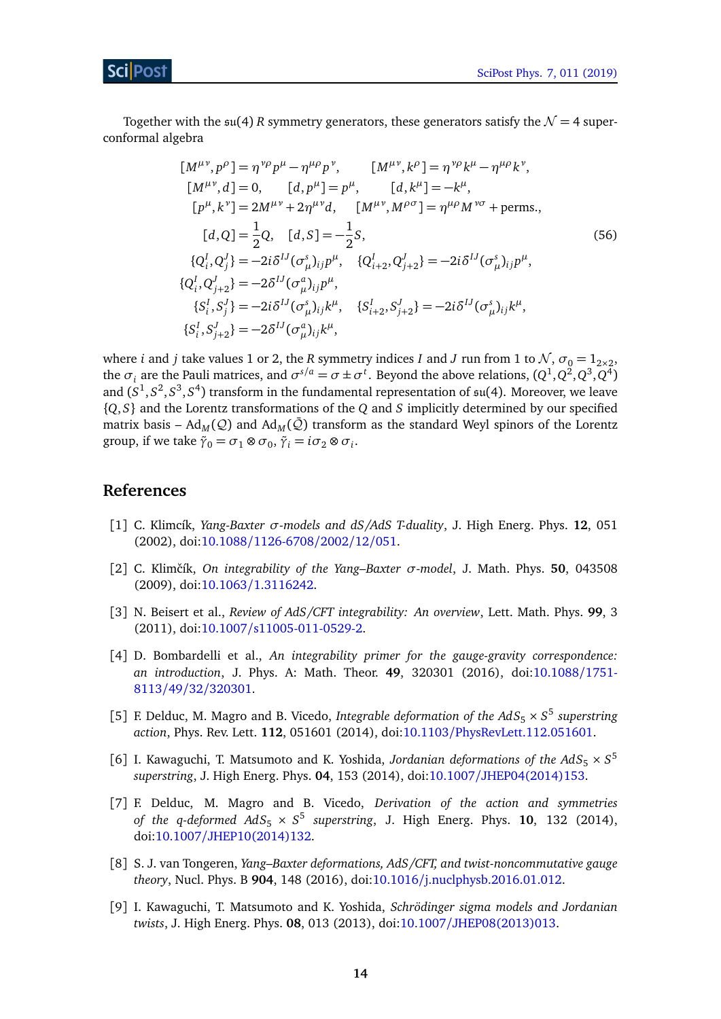Together with the  $\mathfrak{su}(4)$  *R* symmetry generators, these generators satisfy the  $\mathcal{N}=4$  superconformal algebra

<span id="page-13-0"></span>
$$
[M^{\mu\nu}, p^{\rho}] = \eta^{\nu\rho} p^{\mu} - \eta^{\mu\rho} p^{\nu}, \qquad [M^{\mu\nu}, k^{\rho}] = \eta^{\nu\rho} k^{\mu} - \eta^{\mu\rho} k^{\nu}, \n[M^{\mu\nu}, d] = 0, \qquad [d, p^{\mu}] = p^{\mu}, \qquad [d, k^{\mu}] = -k^{\mu}, \n[p^{\mu}, k^{\nu}] = 2M^{\mu\nu} + 2\eta^{\mu\nu} d, \qquad [M^{\mu\nu}, M^{\rho\sigma}] = \eta^{\mu\rho} M^{\nu\sigma} + \text{perms.}, \n[d, Q] = \frac{1}{2} Q, \qquad [d, S] = -\frac{1}{2} S, \n\{Q_i^I, Q_j^J\} = -2i\delta^{IJ} (\sigma^s_{\mu})_{ij} p^{\mu}, \qquad \{Q_{i+2}^I, Q_{j+2}^J\} = -2i\delta^{IJ} (\sigma^s_{\mu})_{ij} p^{\mu}, \n\{Q_i^I, Q_{j+2}^J\} = -2\delta^{IJ} (\sigma^a_{\mu})_{ij} p^{\mu}, \qquad \{S_{i+2}^I, S_{j+2}^J\} = -2i\delta^{IJ} (\sigma^s_{\mu})_{ij} k^{\mu}, \n\{S_i^I, S_{j+2}^J\} = -2\delta^{IJ} (\sigma^a_{\mu})_{ij} k^{\mu},
$$

where *i* and *j* take values 1 or 2, the *R* symmetry indices *I* and *J* run from 1 to  $\mathcal{N}$ ,  $\sigma_0 = 1_{2 \times 2}$ , the  $\sigma_i$  are the Pauli matrices, and  $\sigma^{s/a} = \sigma \pm \sigma^t$ . Beyond the above relations,  $(Q^1, Q^2, Q^3, Q^4)$ and  $(S^1, S^2, S^3, S^4)$  transform in the fundamental representation of  $\mathfrak{su}(4)$ . Moreover, we leave {*Q*, *S*} and the Lorentz transformations of the *Q* and *S* implicitly determined by our specified matrix basis – Ad<sub>M</sub>( $Q$ ) and Ad<sub>M</sub>( $Q$ ) transform as the standard Weyl spinors of the Lorentz group, if we take  $\tilde{\gamma}_0 = \sigma_1 \otimes \sigma_0$ ,  $\tilde{\gamma}_i = i \sigma_2 \otimes \sigma_i$ .

## **References**

- <span id="page-13-1"></span>[1] C. Klimcík, *Yang-Baxter σ-models and dS/AdS T-duality*, J. High Energ. Phys. **12**, 051 (2002), doi:10.1088/[1126-6708](http://dx.doi.org/10.1088/1126-6708/2002/12/051)/2002/12/051.
- <span id="page-13-2"></span>[2] C. Klimˇcík, *On integrability of the Yang–Baxter σ-model*, J. Math. Phys. **50**, 043508 (2009), doi:10.1063/[1.3116242.](http://dx.doi.org/10.1063/1.3116242)
- <span id="page-13-3"></span>[3] N. Beisert et al., *Review of AdS/CFT integrability: An overview*, Lett. Math. Phys. **99**, 3 (2011), doi:10.1007/[s11005-011-0529-2.](http://dx.doi.org/10.1007/s11005-011-0529-2)
- <span id="page-13-4"></span>[4] D. Bombardelli et al., *An integrability primer for the gauge-gravity correspondence: an introduction*, J. Phys. A: Math. Theor. **49**, 320301 (2016), doi[:10.1088](http://dx.doi.org/10.1088/1751-8113/49/32/320301)/1751- 8113/49/32/[320301.](http://dx.doi.org/10.1088/1751-8113/49/32/320301)
- <span id="page-13-5"></span>[5] F. Delduc, M. Magro and B. Vicedo, *Integrable deformation of the AdS*<sub>5</sub>  $\times$  S<sup>5</sup> superstring *action*, Phys. Rev. Lett. **112**, 051601 (2014), doi:10.1103/[PhysRevLett.112.051601.](http://dx.doi.org/10.1103/PhysRevLett.112.051601)
- <span id="page-13-6"></span>[6] I. Kawaguchi, T. Matsumoto and K. Yoshida, *Jordanian deformations of the AdS*<sub>5</sub>  $\times$  *S*<sup>5</sup> *superstring*, J. High Energ. Phys. **04**, 153 (2014), doi:10.1007/[JHEP04\(2014\)153.](http://dx.doi.org/10.1007/JHEP04(2014)153)
- <span id="page-13-7"></span>[7] F. Delduc, M. Magro and B. Vicedo, *Derivation of the action and symmetries of the q-deformed AdS*<sup>5</sup> × *S* 5 *superstring*, J. High Energ. Phys. **10**, 132 (2014), doi:10.1007/[JHEP10\(2014\)132.](http://dx.doi.org/10.1007/JHEP10(2014)132)
- <span id="page-13-8"></span>[8] S. J. van Tongeren, *Yang–Baxter deformations, AdS/CFT, and twist-noncommutative gauge theory*, Nucl. Phys. B **904**, 148 (2016), doi:10.1016/[j.nuclphysb.2016.01.012.](http://dx.doi.org/10.1016/j.nuclphysb.2016.01.012)
- <span id="page-13-9"></span>[9] I. Kawaguchi, T. Matsumoto and K. Yoshida, *Schrödinger sigma models and Jordanian twists*, J. High Energ. Phys. **08**, 013 (2013), doi:10.1007/[JHEP08\(2013\)013.](http://dx.doi.org/10.1007/JHEP08(2013)013)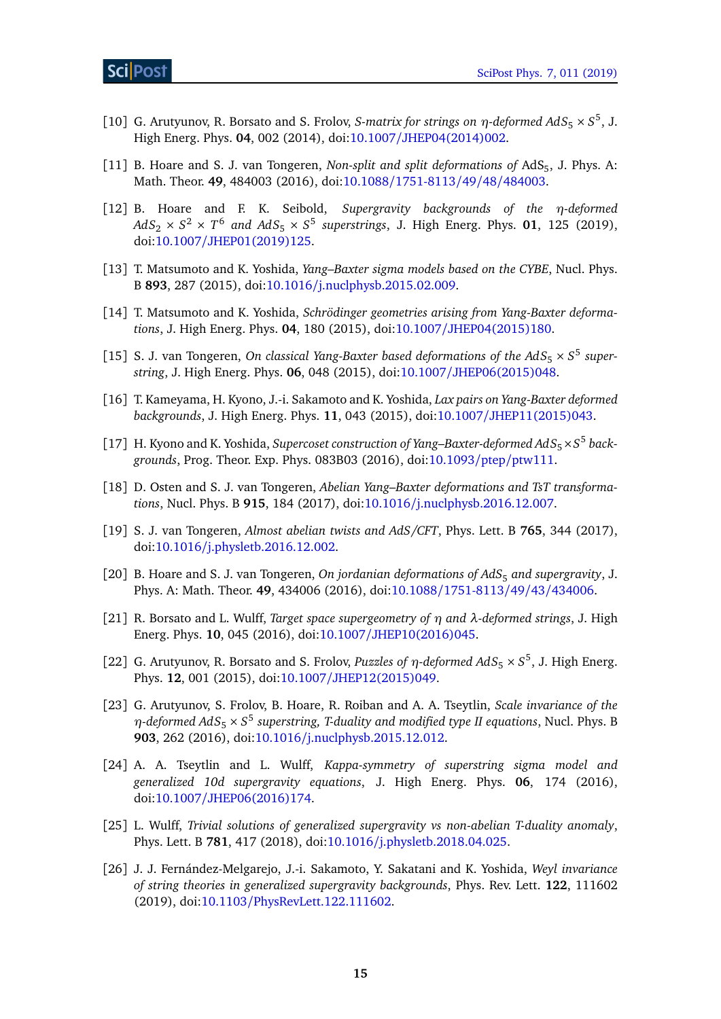- <span id="page-14-0"></span>[10] G. Arutyunov, R. Borsato and S. Frolov, *S-matrix for strings on*  $\eta$ -deformed AdS<sub>5</sub>  $\times$  S<sup>5</sup>, J. High Energ. Phys. **04**, 002 (2014), doi:10.1007/[JHEP04\(2014\)002.](http://dx.doi.org/10.1007/JHEP04(2014)002)
- <span id="page-14-1"></span>[11] B. Hoare and S. J. van Tongeren, *Non-split and split deformations of* AdS<sub>5</sub>, J. Phys. A: Math. Theor. **49**, 484003 (2016), doi:10.1088/[1751-8113](http://dx.doi.org/10.1088/1751-8113/49/48/484003)/49/48/484003.
- <span id="page-14-2"></span>[12] B. Hoare and F. K. Seibold, *Supergravity backgrounds of the η-deformed*  $AdS_2 \times S^2 \times T^6$  and  $AdS_5 \times S^5$  superstrings, J. High Energ. Phys. 01, 125 (2019), doi:10.1007/[JHEP01\(2019\)125.](http://dx.doi.org/10.1007/JHEP01(2019)125)
- <span id="page-14-3"></span>[13] T. Matsumoto and K. Yoshida, *Yang–Baxter sigma models based on the CYBE*, Nucl. Phys. B **893**, 287 (2015), doi:10.1016/[j.nuclphysb.2015.02.009.](http://dx.doi.org/10.1016/j.nuclphysb.2015.02.009)
- [14] T. Matsumoto and K. Yoshida, *Schrödinger geometries arising from Yang-Baxter deformations*, J. High Energ. Phys. **04**, 180 (2015), doi:10.1007/[JHEP04\(2015\)180.](http://dx.doi.org/10.1007/JHEP04(2015)180)
- <span id="page-14-12"></span>[15] S. J. van Tongeren, *On classical Yang-Baxter based deformations of the*  $AdS_5 \times S^5$  *superstring*, J. High Energ. Phys. **06**, 048 (2015), doi:10.1007/[JHEP06\(2015\)048.](http://dx.doi.org/10.1007/JHEP06(2015)048)
- [16] T. Kameyama, H. Kyono, J.-i. Sakamoto and K. Yoshida, *Lax pairs on Yang-Baxter deformed backgrounds*, J. High Energ. Phys. **11**, 043 (2015), doi:10.1007/[JHEP11\(2015\)043.](http://dx.doi.org/10.1007/JHEP11(2015)043)
- [17] H. Kyono and K. Yoshida, *Supercoset construction of Yang–Baxter-deformed AdS*<sub>5</sub>×S<sup>5</sup> back*grounds*, Prog. Theor. Exp. Phys. 083B03 (2016), doi[:10.1093](http://dx.doi.org/10.1093/ptep/ptw111)/ptep/ptw111.
- [18] D. Osten and S. J. van Tongeren, *Abelian Yang–Baxter deformations and TsT transformations*, Nucl. Phys. B **915**, 184 (2017), doi:10.1016/[j.nuclphysb.2016.12.007.](http://dx.doi.org/10.1016/j.nuclphysb.2016.12.007)
- <span id="page-14-4"></span>[19] S. J. van Tongeren, *Almost abelian twists and AdS/CFT*, Phys. Lett. B **765**, 344 (2017), doi:10.1016/[j.physletb.2016.12.002.](http://dx.doi.org/10.1016/j.physletb.2016.12.002)
- <span id="page-14-5"></span>[20] B. Hoare and S. J. van Tongeren, *On jordanian deformations of AdS*<sub>5</sub> and supergravity, J. Phys. A: Math. Theor. **49**, 434006 (2016), doi:10.1088/[1751-8113](http://dx.doi.org/10.1088/1751-8113/49/43/434006)/49/43/434006.
- <span id="page-14-6"></span>[21] R. Borsato and L. Wulff, *Target space supergeometry of η and λ-deformed strings*, J. High Energ. Phys. **10**, 045 (2016), doi:10.1007/[JHEP10\(2016\)045.](http://dx.doi.org/10.1007/JHEP10(2016)045)
- <span id="page-14-7"></span>[22] G. Arutyunov, R. Borsato and S. Frolov, *Puzzles of*  $\eta$ *-deformed AdS*<sub>5</sub>  $\times$  S<sup>5</sup>, J. High Energ. Phys. **12**, 001 (2015), doi:10.1007/[JHEP12\(2015\)049.](http://dx.doi.org/10.1007/JHEP12(2015)049)
- <span id="page-14-8"></span>[23] G. Arutyunov, S. Frolov, B. Hoare, R. Roiban and A. A. Tseytlin, *Scale invariance of the*  $η$ -deformed AdS<sub>5</sub> × S<sup>5</sup> superstring, T-duality and modified type II equations, Nucl. Phys. B **903**, 262 (2016), doi:10.1016/[j.nuclphysb.2015.12.012.](http://dx.doi.org/10.1016/j.nuclphysb.2015.12.012)
- <span id="page-14-9"></span>[24] A. A. Tseytlin and L. Wulff, *Kappa-symmetry of superstring sigma model and generalized 10d supergravity equations*, J. High Energ. Phys. **06**, 174 (2016), doi:10.1007/[JHEP06\(2016\)174.](http://dx.doi.org/10.1007/JHEP06(2016)174)
- <span id="page-14-10"></span>[25] L. Wulff, *Trivial solutions of generalized supergravity vs non-abelian T-duality anomaly*, Phys. Lett. B **781**, 417 (2018), doi:10.1016/[j.physletb.2018.04.025.](http://dx.doi.org/10.1016/j.physletb.2018.04.025)
- <span id="page-14-11"></span>[26] J. J. Fernández-Melgarejo, J.-i. Sakamoto, Y. Sakatani and K. Yoshida, *Weyl invariance of string theories in generalized supergravity backgrounds*, Phys. Rev. Lett. **122**, 111602 (2019), doi:10.1103/[PhysRevLett.122.111602.](http://dx.doi.org/10.1103/PhysRevLett.122.111602)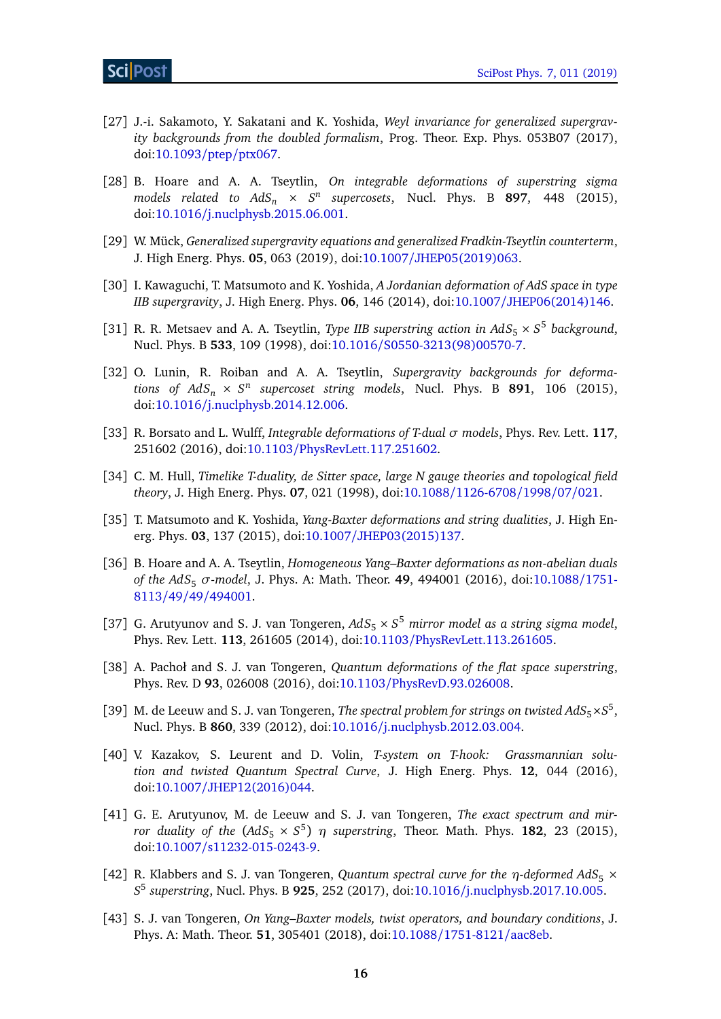- <span id="page-15-0"></span>[27] J.-i. Sakamoto, Y. Sakatani and K. Yoshida, *Weyl invariance for generalized supergravity backgrounds from the doubled formalism*, Prog. Theor. Exp. Phys. 053B07 (2017), doi[:10.1093](http://dx.doi.org/10.1093/ptep/ptx067)/ptep/ptx067.
- <span id="page-15-1"></span>[28] B. Hoare and A. A. Tseytlin, *On integrable deformations of superstring sigma models related to AdS<sup>n</sup>* × *S n supercosets*, Nucl. Phys. B **897**, 448 (2015), doi:10.1016/[j.nuclphysb.2015.06.001.](http://dx.doi.org/10.1016/j.nuclphysb.2015.06.001)
- <span id="page-15-2"></span>[29] W. Mück, *Generalized supergravity equations and generalized Fradkin-Tseytlin counterterm*, J. High Energ. Phys. **05**, 063 (2019), doi:10.1007/[JHEP05\(2019\)063.](http://dx.doi.org/10.1007/JHEP05(2019)063)
- <span id="page-15-3"></span>[30] I. Kawaguchi, T. Matsumoto and K. Yoshida, *A Jordanian deformation of AdS space in type IIB supergravity*, J. High Energ. Phys. **06**, 146 (2014), doi:10.1007/[JHEP06\(2014\)146.](http://dx.doi.org/10.1007/JHEP06(2014)146)
- <span id="page-15-4"></span>[31] R. R. Metsaev and A. A. Tseytlin, *Type IIB superstring action in*  $AdS_5 \times S^5$  *background*, Nucl. Phys. B **533**, 109 (1998), doi:10.1016/[S0550-3213\(98\)00570-7.](http://dx.doi.org/10.1016/S0550-3213(98)00570-7)
- <span id="page-15-5"></span>[32] O. Lunin, R. Roiban and A. A. Tseytlin, *Supergravity backgrounds for deformations of*  $AdS_n \times S^n$  *supercoset string models*, Nucl. Phys. B **891**, 106 (2015), doi:10.1016/[j.nuclphysb.2014.12.006.](http://dx.doi.org/10.1016/j.nuclphysb.2014.12.006)
- <span id="page-15-6"></span>[33] R. Borsato and L. Wulff, *Integrable deformations of T-dual σ models*, Phys. Rev. Lett. **117**, 251602 (2016), doi:10.1103/[PhysRevLett.117.251602.](http://dx.doi.org/10.1103/PhysRevLett.117.251602)
- <span id="page-15-7"></span>[34] C. M. Hull, *Timelike T-duality, de Sitter space, large N gauge theories and topological field theory*, J. High Energ. Phys. **07**, 021 (1998), doi:10.1088/[1126-6708](http://dx.doi.org/10.1088/1126-6708/1998/07/021)/1998/07/021.
- <span id="page-15-8"></span>[35] T. Matsumoto and K. Yoshida, *Yang-Baxter deformations and string dualities*, J. High Energ. Phys. **03**, 137 (2015), doi:10.1007/[JHEP03\(2015\)137.](http://dx.doi.org/10.1007/JHEP03(2015)137)
- <span id="page-15-9"></span>[36] B. Hoare and A. A. Tseytlin, *Homogeneous Yang–Baxter deformations as non-abelian duals of the AdS*<sup>5</sup> *σ-model*, J. Phys. A: Math. Theor. **49**, 494001 (2016), doi[:10.1088](http://dx.doi.org/10.1088/1751-8113/49/49/494001)/1751- 8113/49/49/[494001.](http://dx.doi.org/10.1088/1751-8113/49/49/494001)
- <span id="page-15-10"></span>[37] G. Arutyunov and S. J. van Tongeren, *AdS*<sup>5</sup> × *S* <sup>5</sup> *mirror model as a string sigma model*, Phys. Rev. Lett. **113**, 261605 (2014), doi:10.1103/[PhysRevLett.113.261605.](http://dx.doi.org/10.1103/PhysRevLett.113.261605)
- <span id="page-15-11"></span>[38] A. Pachoł and S. J. van Tongeren, *Quantum deformations of the flat space superstring*, Phys. Rev. D **93**, 026008 (2016), doi:10.1103/[PhysRevD.93.026008.](http://dx.doi.org/10.1103/PhysRevD.93.026008)
- <span id="page-15-12"></span>[39] M. de Leeuw and S. J. van Tongeren, *The spectral problem for strings on twisted*  $AdS_5 \times S^5$ , Nucl. Phys. B **860**, 339 (2012), doi:10.1016/[j.nuclphysb.2012.03.004.](http://dx.doi.org/10.1016/j.nuclphysb.2012.03.004)
- <span id="page-15-13"></span>[40] V. Kazakov, S. Leurent and D. Volin, *T-system on T-hook: Grassmannian solution and twisted Quantum Spectral Curve*, J. High Energ. Phys. **12**, 044 (2016), doi:10.1007/[JHEP12\(2016\)044.](http://dx.doi.org/10.1007/JHEP12(2016)044)
- <span id="page-15-14"></span>[41] G. E. Arutyunov, M. de Leeuw and S. J. van Tongeren, *The exact spectrum and mirror duality of the*  $(AdS_5 \times S^5)$  $\eta$  *superstring*, Theor. Math. Phys. **182**, 23 (2015), doi:10.1007/[s11232-015-0243-9.](http://dx.doi.org/10.1007/s11232-015-0243-9)
- <span id="page-15-15"></span>[42] R. Klabbers and S. J. van Tongeren, *Quantum spectral curve for the η-deformed AdS<sub>5</sub> × S* 5 *superstring*, Nucl. Phys. B **925**, 252 (2017), doi:10.1016/[j.nuclphysb.2017.10.005.](http://dx.doi.org/10.1016/j.nuclphysb.2017.10.005)
- <span id="page-15-16"></span>[43] S. J. van Tongeren, *On Yang–Baxter models, twist operators, and boundary conditions*, J. Phys. A: Math. Theor. **51**, 305401 (2018), doi:10.1088/[1751-8121](http://dx.doi.org/10.1088/1751-8121/aac8eb)/aac8eb.